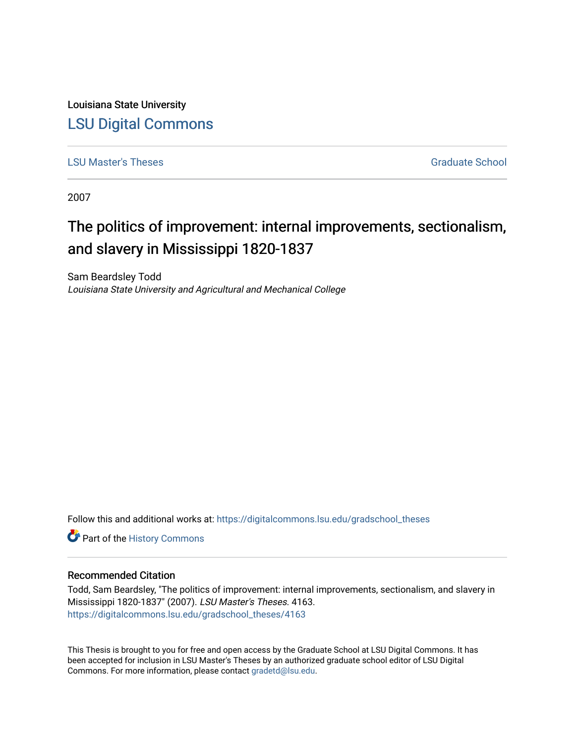Louisiana State University [LSU Digital Commons](https://digitalcommons.lsu.edu/)

**[LSU Master's Theses](https://digitalcommons.lsu.edu/gradschool_theses) Graduate School** Community Community Community Community Community Community Community Community

2007

# The politics of improvement: internal improvements, sectionalism, and slavery in Mississippi 1820-1837

Sam Beardsley Todd Louisiana State University and Agricultural and Mechanical College

Follow this and additional works at: [https://digitalcommons.lsu.edu/gradschool\\_theses](https://digitalcommons.lsu.edu/gradschool_theses?utm_source=digitalcommons.lsu.edu%2Fgradschool_theses%2F4163&utm_medium=PDF&utm_campaign=PDFCoverPages) 

Part of the [History Commons](https://network.bepress.com/hgg/discipline/489?utm_source=digitalcommons.lsu.edu%2Fgradschool_theses%2F4163&utm_medium=PDF&utm_campaign=PDFCoverPages) 

#### Recommended Citation

Todd, Sam Beardsley, "The politics of improvement: internal improvements, sectionalism, and slavery in Mississippi 1820-1837" (2007). LSU Master's Theses. 4163. [https://digitalcommons.lsu.edu/gradschool\\_theses/4163](https://digitalcommons.lsu.edu/gradschool_theses/4163?utm_source=digitalcommons.lsu.edu%2Fgradschool_theses%2F4163&utm_medium=PDF&utm_campaign=PDFCoverPages) 

This Thesis is brought to you for free and open access by the Graduate School at LSU Digital Commons. It has been accepted for inclusion in LSU Master's Theses by an authorized graduate school editor of LSU Digital Commons. For more information, please contact [gradetd@lsu.edu.](mailto:gradetd@lsu.edu)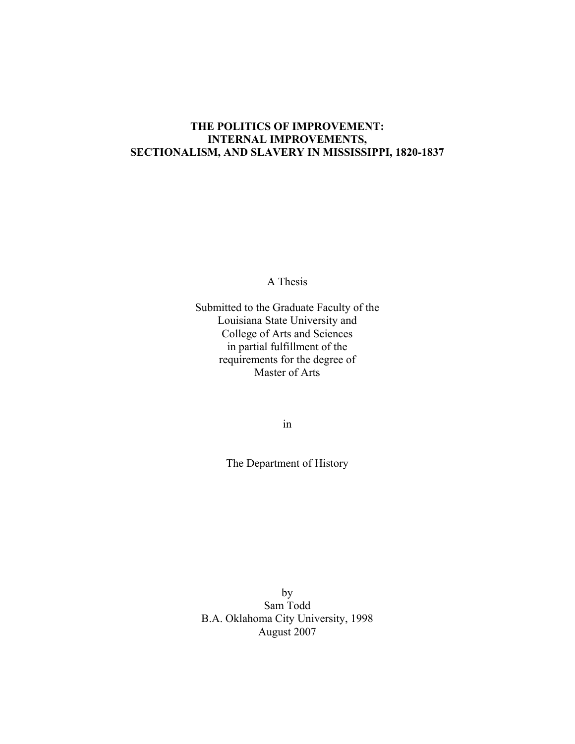## **THE POLITICS OF IMPROVEMENT: INTERNAL IMPROVEMENTS, SECTIONALISM, AND SLAVERY IN MISSISSIPPI, 1820-1837**

A Thesis

Submitted to the Graduate Faculty of the Louisiana State University and College of Arts and Sciences in partial fulfillment of the requirements for the degree of Master of Arts

in

The Department of History

by Sam Todd B.A. Oklahoma City University, 1998 August 2007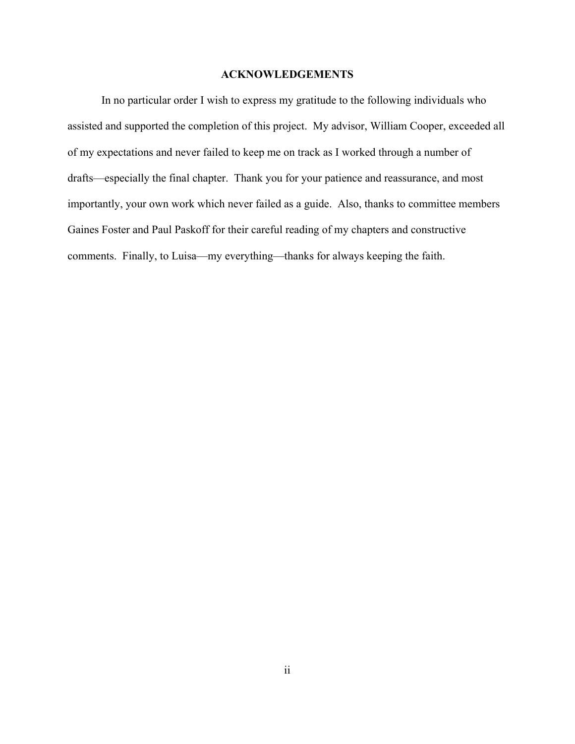### **ACKNOWLEDGEMENTS**

In no particular order I wish to express my gratitude to the following individuals who assisted and supported the completion of this project. My advisor, William Cooper, exceeded all of my expectations and never failed to keep me on track as I worked through a number of drafts—especially the final chapter. Thank you for your patience and reassurance, and most importantly, your own work which never failed as a guide. Also, thanks to committee members Gaines Foster and Paul Paskoff for their careful reading of my chapters and constructive comments. Finally, to Luisa—my everything—thanks for always keeping the faith.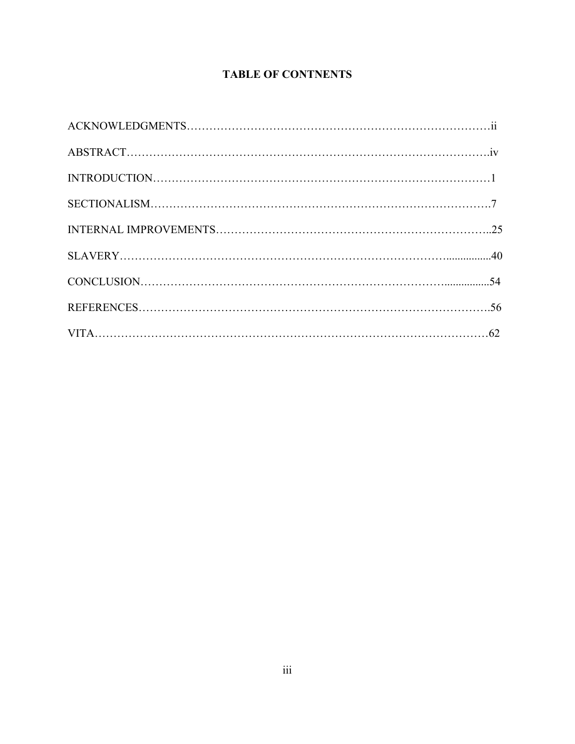# **TABLE OF CONTNENTS**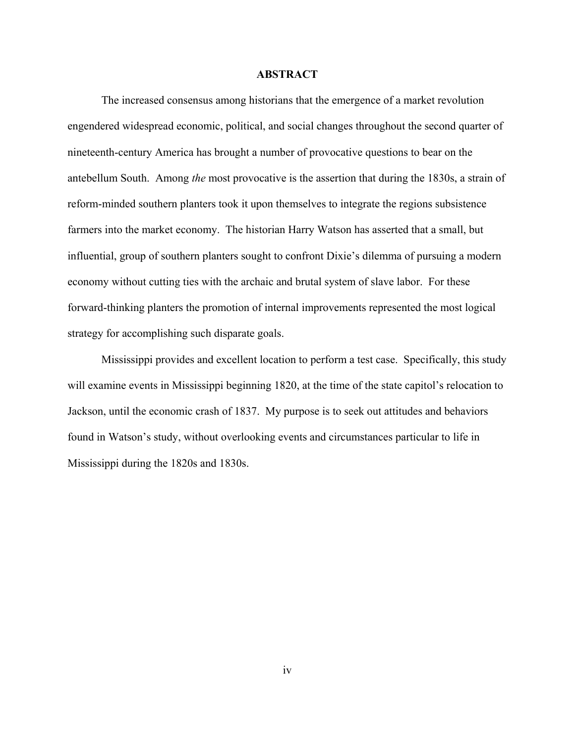#### **ABSTRACT**

The increased consensus among historians that the emergence of a market revolution engendered widespread economic, political, and social changes throughout the second quarter of nineteenth-century America has brought a number of provocative questions to bear on the antebellum South. Among *the* most provocative is the assertion that during the 1830s, a strain of reform-minded southern planters took it upon themselves to integrate the regions subsistence farmers into the market economy. The historian Harry Watson has asserted that a small, but influential, group of southern planters sought to confront Dixie's dilemma of pursuing a modern economy without cutting ties with the archaic and brutal system of slave labor. For these forward-thinking planters the promotion of internal improvements represented the most logical strategy for accomplishing such disparate goals.

Mississippi provides and excellent location to perform a test case. Specifically, this study will examine events in Mississippi beginning 1820, at the time of the state capitol's relocation to Jackson, until the economic crash of 1837. My purpose is to seek out attitudes and behaviors found in Watson's study, without overlooking events and circumstances particular to life in Mississippi during the 1820s and 1830s.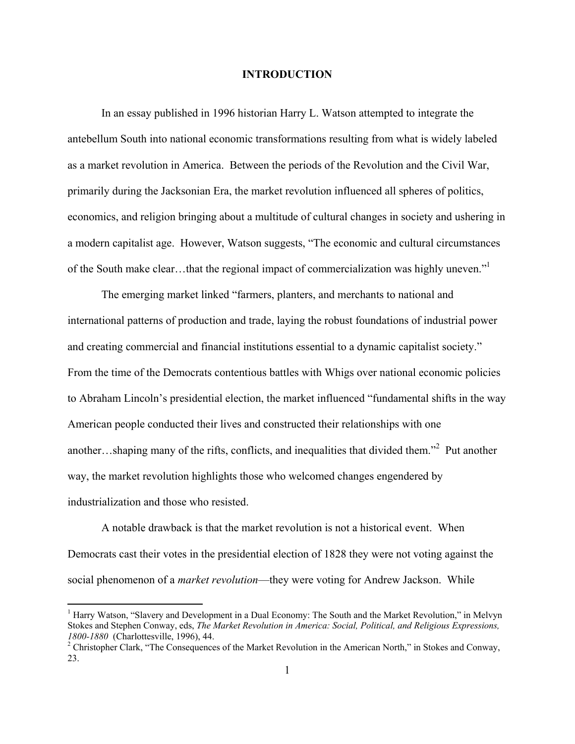#### **INTRODUCTION**

 In an essay published in 1996 historian Harry L. Watson attempted to integrate the antebellum South into national economic transformations resulting from what is widely labeled as a market revolution in America. Between the periods of the Revolution and the Civil War, primarily during the Jacksonian Era, the market revolution influenced all spheres of politics, economics, and religion bringing about a multitude of cultural changes in society and ushering in a modern capitalist age. However, Watson suggests, "The economic and cultural circumstances of the South make clear…that the regional impact of commercialization was highly uneven."1

The emerging market linked "farmers, planters, and merchants to national and international patterns of production and trade, laying the robust foundations of industrial power and creating commercial and financial institutions essential to a dynamic capitalist society." From the time of the Democrats contentious battles with Whigs over national economic policies to Abraham Lincoln's presidential election, the market influenced "fundamental shifts in the way American people conducted their lives and constructed their relationships with one another...shaping many of the rifts, conflicts, and inequalities that divided them."<sup>2</sup> Put another way, the market revolution highlights those who welcomed changes engendered by industrialization and those who resisted.

 A notable drawback is that the market revolution is not a historical event. When Democrats cast their votes in the presidential election of 1828 they were not voting against the social phenomenon of a *market revolution*—they were voting for Andrew Jackson. While

<sup>&</sup>lt;sup>1</sup> Harry Watson, "Slavery and Development in a Dual Economy: The South and the Market Revolution," in Melvyn Stokes and Stephen Conway, eds, *The Market Revolution in America: Social, Political, and Religious Expressions, 1800-1880* (Charlottesville, 1996), 44. 2

<sup>&</sup>lt;sup>2</sup> Christopher Clark, "The Consequences of the Market Revolution in the American North," in Stokes and Conway, 23.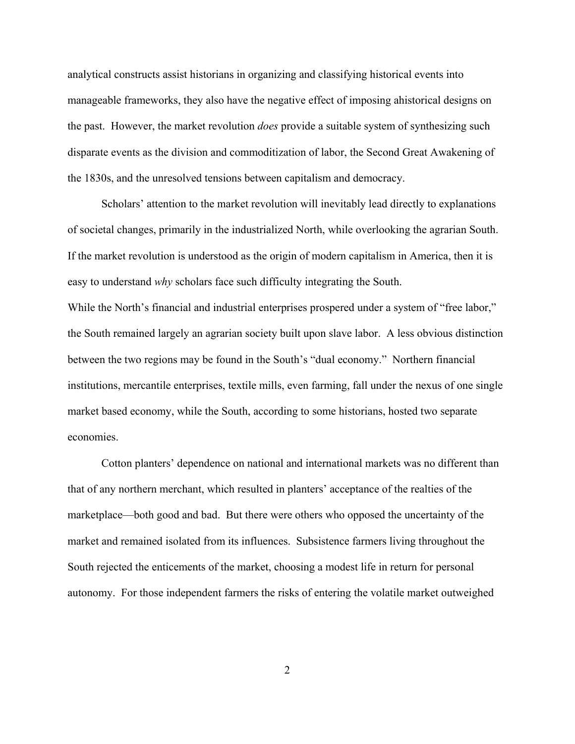analytical constructs assist historians in organizing and classifying historical events into manageable frameworks, they also have the negative effect of imposing ahistorical designs on the past. However, the market revolution *does* provide a suitable system of synthesizing such disparate events as the division and commoditization of labor, the Second Great Awakening of the 1830s, and the unresolved tensions between capitalism and democracy.

Scholars' attention to the market revolution will inevitably lead directly to explanations of societal changes, primarily in the industrialized North, while overlooking the agrarian South. If the market revolution is understood as the origin of modern capitalism in America, then it is easy to understand *why* scholars face such difficulty integrating the South.

While the North's financial and industrial enterprises prospered under a system of "free labor," the South remained largely an agrarian society built upon slave labor. A less obvious distinction between the two regions may be found in the South's "dual economy." Northern financial institutions, mercantile enterprises, textile mills, even farming, fall under the nexus of one single market based economy, while the South, according to some historians, hosted two separate economies.

Cotton planters' dependence on national and international markets was no different than that of any northern merchant, which resulted in planters' acceptance of the realties of the marketplace—both good and bad. But there were others who opposed the uncertainty of the market and remained isolated from its influences. Subsistence farmers living throughout the South rejected the enticements of the market, choosing a modest life in return for personal autonomy. For those independent farmers the risks of entering the volatile market outweighed

2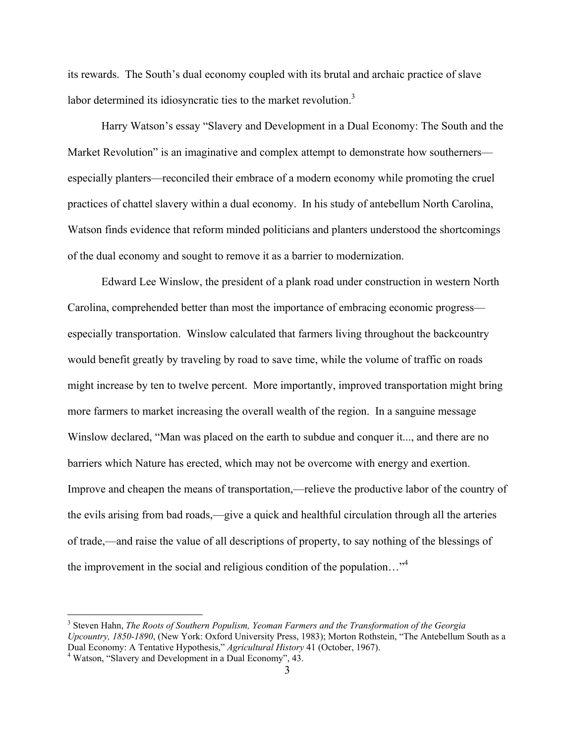its rewards. The South's dual economy coupled with its brutal and archaic practice of slave labor determined its idiosyncratic ties to the market revolution.<sup>3</sup>

Harry Watson's essay "Slavery and Development in a Dual Economy: The South and the Market Revolution" is an imaginative and complex attempt to demonstrate how southerners especially planters—reconciled their embrace of a modern economy while promoting the cruel practices of chattel slavery within a dual economy. In his study of antebellum North Carolina, Watson finds evidence that reform minded politicians and planters understood the shortcomings of the dual economy and sought to remove it as a barrier to modernization.

Edward Lee Winslow, the president of a plank road under construction in western North Carolina, comprehended better than most the importance of embracing economic progress especially transportation. Winslow calculated that farmers living throughout the backcountry would benefit greatly by traveling by road to save time, while the volume of traffic on roads might increase by ten to twelve percent. More importantly, improved transportation might bring more farmers to market increasing the overall wealth of the region. In a sanguine message Winslow declared, "Man was placed on the earth to subdue and conquer it..., and there are no barriers which Nature has erected, which may not be overcome with energy and exertion. Improve and cheapen the means of transportation,—relieve the productive labor of the country of the evils arising from bad roads,—give a quick and healthful circulation through all the arteries of trade,—and raise the value of all descriptions of property, to say nothing of the blessings of the improvement in the social and religious condition of the population..."<sup>4</sup>

<sup>3</sup> Steven Hahn, *The Roots of Southern Populism, Yeoman Farmers and the Transformation of the Georgia Upcountry, 1850-1890*, (New York: Oxford University Press, 1983); Morton Rothstein, "The Antebellum South as a Dual Economy: A Tentative Hypothesis," *Agricultural History* 41 (October, 1967). 4

Watson, "Slavery and Development in a Dual Economy", 43.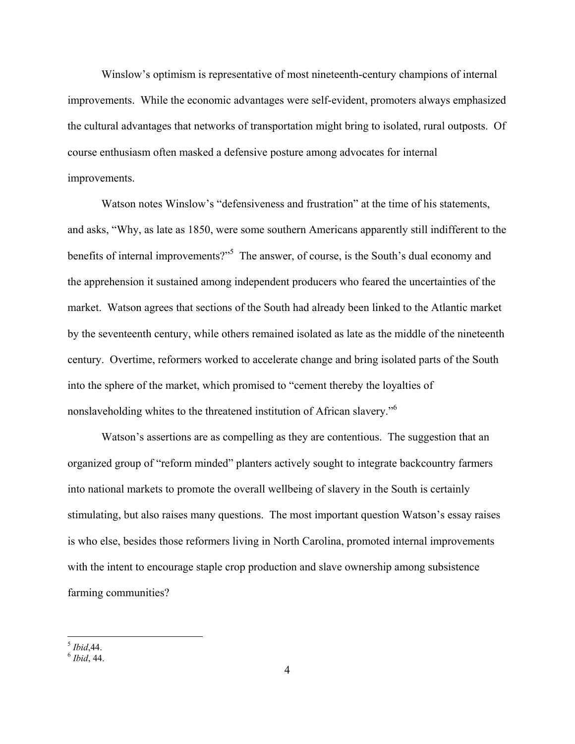Winslow's optimism is representative of most nineteenth-century champions of internal improvements. While the economic advantages were self-evident, promoters always emphasized the cultural advantages that networks of transportation might bring to isolated, rural outposts. Of course enthusiasm often masked a defensive posture among advocates for internal improvements.

Watson notes Winslow's "defensiveness and frustration" at the time of his statements, and asks, "Why, as late as 1850, were some southern Americans apparently still indifferent to the benefits of internal improvements?"<sup>5</sup> The answer, of course, is the South's dual economy and the apprehension it sustained among independent producers who feared the uncertainties of the market. Watson agrees that sections of the South had already been linked to the Atlantic market by the seventeenth century, while others remained isolated as late as the middle of the nineteenth century. Overtime, reformers worked to accelerate change and bring isolated parts of the South into the sphere of the market, which promised to "cement thereby the loyalties of nonslaveholding whites to the threatened institution of African slavery."<sup>6</sup>

Watson's assertions are as compelling as they are contentious. The suggestion that an organized group of "reform minded" planters actively sought to integrate backcountry farmers into national markets to promote the overall wellbeing of slavery in the South is certainly stimulating, but also raises many questions. The most important question Watson's essay raises is who else, besides those reformers living in North Carolina, promoted internal improvements with the intent to encourage staple crop production and slave ownership among subsistence farming communities?

 $\overline{a}$ <sup>5</sup> *Ibid*,44. 6 *Ibid*, 44.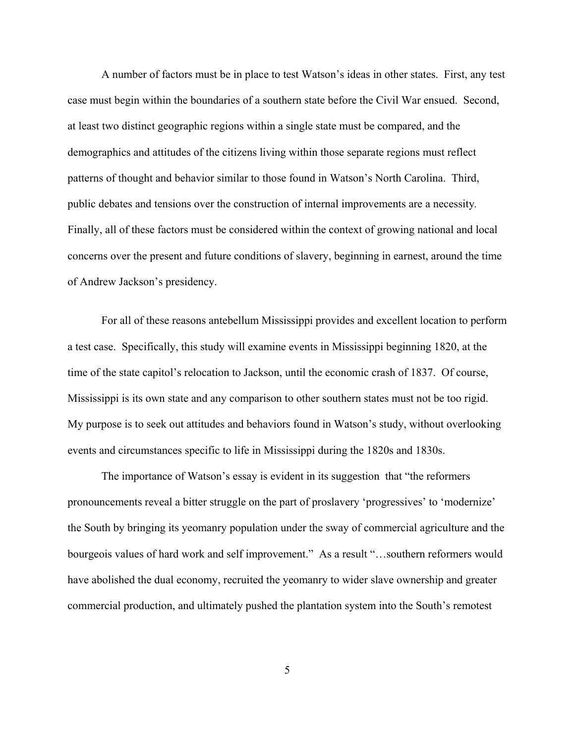A number of factors must be in place to test Watson's ideas in other states. First, any test case must begin within the boundaries of a southern state before the Civil War ensued. Second, at least two distinct geographic regions within a single state must be compared, and the demographics and attitudes of the citizens living within those separate regions must reflect patterns of thought and behavior similar to those found in Watson's North Carolina.Third, public debates and tensions over the construction of internal improvements are a necessity*.*  Finally, all of these factors must be considered within the context of growing national and local concerns over the present and future conditions of slavery, beginning in earnest, around the time of Andrew Jackson's presidency.

For all of these reasons antebellum Mississippi provides and excellent location to perform a test case. Specifically, this study will examine events in Mississippi beginning 1820, at the time of the state capitol's relocation to Jackson, until the economic crash of 1837. Of course, Mississippi is its own state and any comparison to other southern states must not be too rigid. My purpose is to seek out attitudes and behaviors found in Watson's study, without overlooking events and circumstances specific to life in Mississippi during the 1820s and 1830s.

 The importance of Watson's essay is evident in its suggestion that "the reformers pronouncements reveal a bitter struggle on the part of proslavery 'progressives' to 'modernize' the South by bringing its yeomanry population under the sway of commercial agriculture and the bourgeois values of hard work and self improvement." As a result "...southern reformers would have abolished the dual economy, recruited the yeomanry to wider slave ownership and greater commercial production, and ultimately pushed the plantation system into the South's remotest

5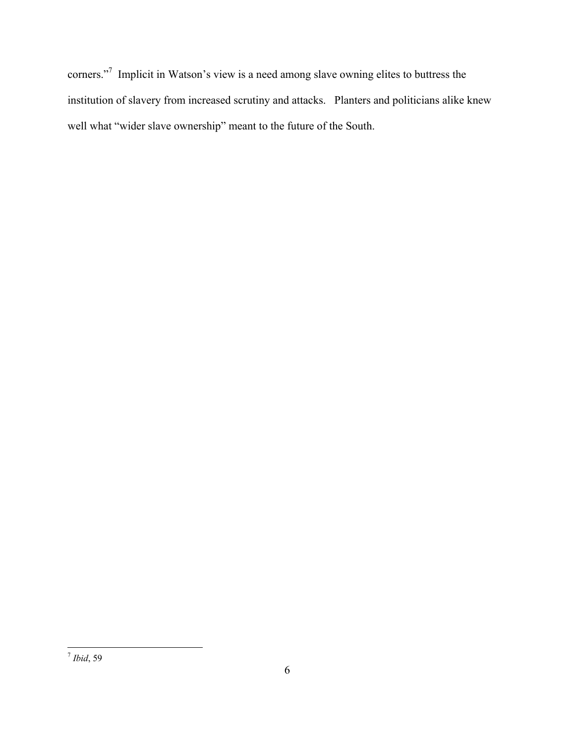corners."<sup>7</sup> Implicit in Watson's view is a need among slave owning elites to buttress the institution of slavery from increased scrutiny and attacks. Planters and politicians alike knew well what "wider slave ownership" meant to the future of the South.

 $\overline{a}$ <sup>7</sup> *Ibid*, 59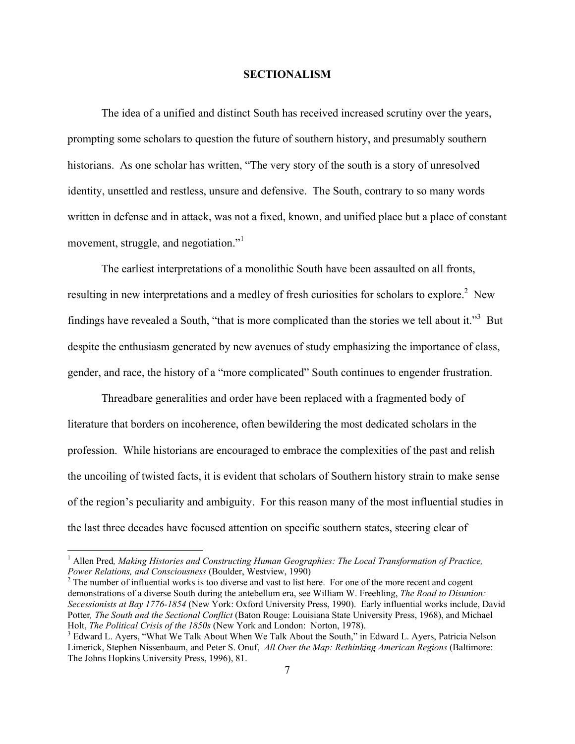#### **SECTIONALISM**

The idea of a unified and distinct South has received increased scrutiny over the years, prompting some scholars to question the future of southern history, and presumably southern historians.As one scholar has written, "The very story of the south is a story of unresolved identity, unsettled and restless, unsure and defensive. The South, contrary to so many words written in defense and in attack, was not a fixed, known, and unified place but a place of constant movement, struggle, and negotiation."<sup>1</sup>

The earliest interpretations of a monolithic South have been assaulted on all fronts, resulting in new interpretations and a medley of fresh curiosities for scholars to explore.<sup>2</sup> New findings have revealed a South, "that is more complicated than the stories we tell about it."<sup>3</sup> But despite the enthusiasm generated by new avenues of study emphasizing the importance of class, gender, and race, the history of a "more complicated" South continues to engender frustration.

Threadbare generalities and order have been replaced with a fragmented body of literature that borders on incoherence, often bewildering the most dedicated scholars in the profession. While historians are encouraged to embrace the complexities of the past and relish the uncoiling of twisted facts, it is evident that scholars of Southern history strain to make sense of the region's peculiarity and ambiguity. For this reason many of the most influential studies in the last three decades have focused attention on specific southern states, steering clear of

<sup>&</sup>lt;sup>1</sup> Allen Pred, Making Histories and Constructing Human Geographies: The Local Transformation of Practice, *Power Relations, and Consciousness* (Boulder, Westview, 1990) 2

<sup>&</sup>lt;sup>2</sup> The number of influential works is too diverse and vast to list here. For one of the more recent and cogent demonstrations of a diverse South during the antebellum era, see William W. Freehling, *The Road to Disunion: Secessionists at Bay 1776-1854* (New York: Oxford University Press, 1990). Early influential works include, David Potter*, The South and the Sectional Conflict* (Baton Rouge: Louisiana State University Press, 1968), and Michael Holt, *The Political Crisis of the 1850s* (New York and London: Norton, 1978). 3

<sup>&</sup>lt;sup>3</sup> Edward L. Ayers, "What We Talk About When We Talk About the South," in Edward L. Ayers, Patricia Nelson Limerick, Stephen Nissenbaum, and Peter S. Onuf, *All Over the Map: Rethinking American Regions* (Baltimore: The Johns Hopkins University Press, 1996), 81.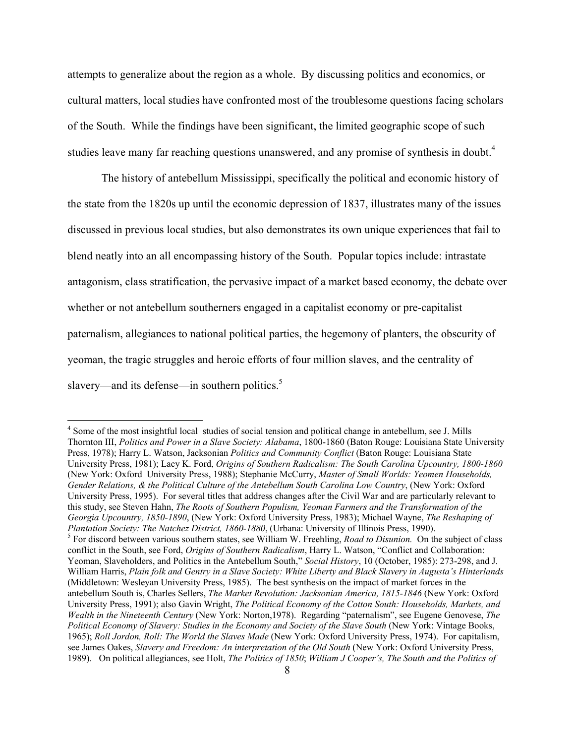attempts to generalize about the region as a whole. By discussing politics and economics, or cultural matters, local studies have confronted most of the troublesome questions facing scholars of the South. While the findings have been significant, the limited geographic scope of such studies leave many far reaching questions unanswered, and any promise of synthesis in doubt.<sup>4</sup>

The history of antebellum Mississippi, specifically the political and economic history of the state from the 1820s up until the economic depression of 1837, illustrates many of the issues discussed in previous local studies, but also demonstrates its own unique experiences that fail to blend neatly into an all encompassing history of the South. Popular topics include: intrastate antagonism, class stratification, the pervasive impact of a market based economy, the debate over whether or not antebellum southerners engaged in a capitalist economy or pre-capitalist paternalism, allegiances to national political parties, the hegemony of planters, the obscurity of yeoman, the tragic struggles and heroic efforts of four million slaves, and the centrality of slavery—and its defense—in southern politics.<sup>5</sup>

<sup>&</sup>lt;sup>4</sup> Some of the most insightful local studies of social tension and political change in antebellum, see J. Mills Thornton III, *Politics and Power in a Slave Society: Alabama*, 1800-1860 (Baton Rouge: Louisiana State University Press, 1978); Harry L. Watson, Jacksonian *Politics and Community Conflict* (Baton Rouge: Louisiana State University Press, 1981); Lacy K. Ford, *Origins of Southern Radicalism: The South Carolina Upcountry, 1800-1860* (New York: Oxford University Press, 1988); Stephanie McCurry, *Master of Small Worlds: Yeomen Households, Gender Relations, & the Political Culture of the Antebellum South Carolina Low Country*, (New York: Oxford University Press, 1995). For several titles that address changes after the Civil War and are particularly relevant to this study, see Steven Hahn, *The Roots of Southern Populism, Yeoman Farmers and the Transformation of the Georgia Upcountry, 1850-1890*, (New York: Oxford University Press, 1983); Michael Wayne, *The Reshaping of Plantation Society: The Natchez District, 1860-1880, (Urbana: University of Illinois Press, 1990).* <sup>5</sup> For discord between various southern states, see William W. Freehling, *Road to Disunion*. On the subject of class conflict in the South, see Ford, *Origins of Southern Radicalism*, Harry L. Watson, "Conflict and Collaboration: Yeoman, Slaveholders, and Politics in the Antebellum South," *Social History*, 10 (October, 1985): 273-298, and J. William Harris, *Plain folk and Gentry in a Slave Society: White Liberty and Black Slavery in Augusta's Hinterlands* (Middletown: Wesleyan University Press, 1985). The best synthesis on the impact of market forces in the antebellum South is, Charles Sellers, *The Market Revolution: Jacksonian America, 1815-1846* (New York: Oxford University Press, 1991); also Gavin Wright, *The Political Economy of the Cotton South: Households, Markets, and Wealth in the Nineteenth Century* (New York: Norton,1978). Regarding "paternalism", see Eugene Genovese, *The Political Economy of Slavery: Studies in the Economy and Society of the Slave South* (New York: Vintage Books, 1965); *Roll Jordon, Roll: The World the Slaves Made* (New York: Oxford University Press, 1974). For capitalism, see James Oakes, *Slavery and Freedom: An interpretation of the Old South* (New York: Oxford University Press, 1989). On political allegiances, see Holt, *The Politics of 1850*; *William J Cooper's, The South and the Politics of*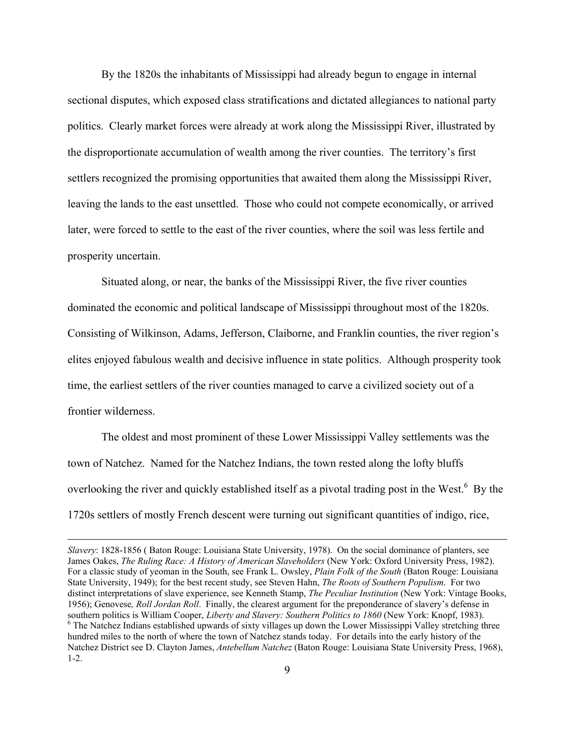By the 1820s the inhabitants of Mississippi had already begun to engage in internal sectional disputes, which exposed class stratifications and dictated allegiances to national party politics. Clearly market forces were already at work along the Mississippi River, illustrated by the disproportionate accumulation of wealth among the river counties. The territory's first settlers recognized the promising opportunities that awaited them along the Mississippi River, leaving the lands to the east unsettled. Those who could not compete economically, or arrived later, were forced to settle to the east of the river counties, where the soil was less fertile and prosperity uncertain.

Situated along, or near, the banks of the Mississippi River, the five river counties dominated the economic and political landscape of Mississippi throughout most of the 1820s. Consisting of Wilkinson, Adams, Jefferson, Claiborne, and Franklin counties, the river region's elites enjoyed fabulous wealth and decisive influence in state politics. Although prosperity took time, the earliest settlers of the river counties managed to carve a civilized society out of a frontier wilderness.

The oldest and most prominent of these Lower Mississippi Valley settlements was the town of Natchez. Named for the Natchez Indians, the town rested along the lofty bluffs overlooking the river and quickly established itself as a pivotal trading post in the West. $<sup>6</sup>$  By the</sup> 1720s settlers of mostly French descent were turning out significant quantities of indigo, rice,

1

*Slavery*: 1828-1856 ( Baton Rouge: Louisiana State University, 1978). On the social dominance of planters, see James Oakes, *The Ruling Race: A History of American Slaveholders* (New York: Oxford University Press, 1982). For a classic study of yeoman in the South, see Frank L. Owsley, *Plain Folk of the South* (Baton Rouge: Louisiana State University, 1949); for the best recent study, see Steven Hahn, *The Roots of Southern Populism*. For two distinct interpretations of slave experience, see Kenneth Stamp, *The Peculiar Institution* (New York: Vintage Books, 1956); Genovese*, Roll Jordan Roll*. Finally, the clearest argument for the preponderance of slavery's defense in southern politics is William Cooper, *Liberty and Slavery: Southern Politics to 1860* (New York: Knopf, 1983). <sup>6</sup> The Natchez Indians established upwards of sixty villages up down the Lower Mississippi Valley stretching three hundred miles to the north of where the town of Natchez stands today. For details into the early history of the Natchez District see D. Clayton James, *Antebellum Natchez* (Baton Rouge: Louisiana State University Press, 1968), 1-2.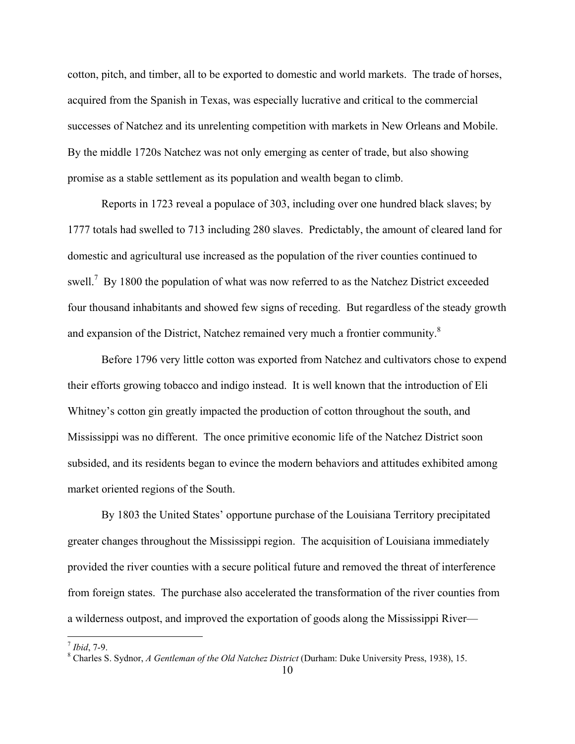cotton, pitch, and timber, all to be exported to domestic and world markets. The trade of horses, acquired from the Spanish in Texas, was especially lucrative and critical to the commercial successes of Natchez and its unrelenting competition with markets in New Orleans and Mobile. By the middle 1720s Natchez was not only emerging as center of trade, but also showing promise as a stable settlement as its population and wealth began to climb.

Reports in 1723 reveal a populace of 303, including over one hundred black slaves; by 1777 totals had swelled to 713 including 280 slaves. Predictably, the amount of cleared land for domestic and agricultural use increased as the population of the river counties continued to swell.<sup>7</sup> By 1800 the population of what was now referred to as the Natchez District exceeded four thousand inhabitants and showed few signs of receding. But regardless of the steady growth and expansion of the District, Natchez remained very much a frontier community.8

Before 1796 very little cotton was exported from Natchez and cultivators chose to expend their efforts growing tobacco and indigo instead. It is well known that the introduction of Eli Whitney's cotton gin greatly impacted the production of cotton throughout the south, and Mississippi was no different. The once primitive economic life of the Natchez District soon subsided, and its residents began to evince the modern behaviors and attitudes exhibited among market oriented regions of the South.

By 1803 the United States' opportune purchase of the Louisiana Territory precipitated greater changes throughout the Mississippi region. The acquisition of Louisiana immediately provided the river counties with a secure political future and removed the threat of interference from foreign states. The purchase also accelerated the transformation of the river counties from a wilderness outpost, and improved the exportation of goods along the Mississippi River—

 $^7$  *Ibid*, 7-9.

Charles S. Sydnor, *A Gentleman of the Old Natchez District* (Durham: Duke University Press, 1938), 15.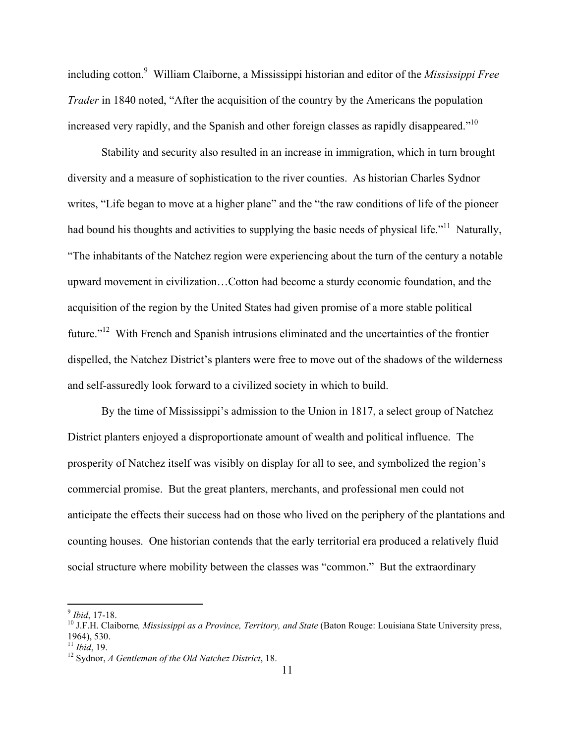including cotton.9 William Claiborne, a Mississippi historian and editor of the *Mississippi Free Trader* in 1840 noted, "After the acquisition of the country by the Americans the population increased very rapidly, and the Spanish and other foreign classes as rapidly disappeared."<sup>10</sup>

Stability and security also resulted in an increase in immigration, which in turn brought diversity and a measure of sophistication to the river counties. As historian Charles Sydnor writes, "Life began to move at a higher plane" and the "the raw conditions of life of the pioneer had bound his thoughts and activities to supplying the basic needs of physical life.<sup>"11</sup> Naturally, "The inhabitants of the Natchez region were experiencing about the turn of the century a notable upward movement in civilization…Cotton had become a sturdy economic foundation, and the acquisition of the region by the United States had given promise of a more stable political future."<sup>12</sup> With French and Spanish intrusions eliminated and the uncertainties of the frontier dispelled, the Natchez District's planters were free to move out of the shadows of the wilderness and self-assuredly look forward to a civilized society in which to build.

By the time of Mississippi's admission to the Union in 1817, a select group of Natchez District planters enjoyed a disproportionate amount of wealth and political influence. The prosperity of Natchez itself was visibly on display for all to see, and symbolized the region's commercial promise. But the great planters, merchants, and professional men could not anticipate the effects their success had on those who lived on the periphery of the plantations and counting houses. One historian contends that the early territorial era produced a relatively fluid social structure where mobility between the classes was "common." But the extraordinary

<sup>&</sup>lt;sup>9</sup> *Ibid*, 17-18.<br><sup>10</sup> J.F.H. Claiborne, *Mississippi as a Province, Territory, and State* (Baton Rouge: Louisiana State University press, 1964), 530.<br> $\frac{11 \text{}}{11 \text{}}$ *lbid*, 19.

<sup>&</sup>lt;sup>12</sup> Sydnor, *A* Gentleman of the Old Natchez District, 18.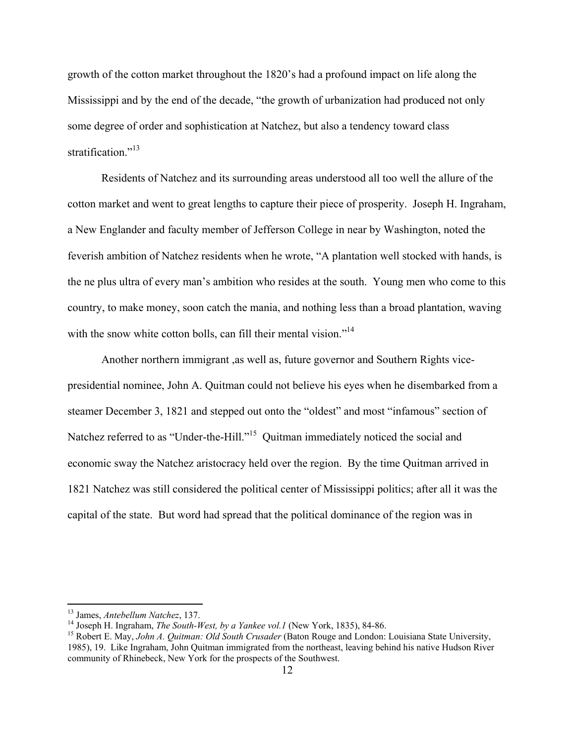growth of the cotton market throughout the 1820's had a profound impact on life along the Mississippi and by the end of the decade, "the growth of urbanization had produced not only some degree of order and sophistication at Natchez, but also a tendency toward class stratification."<sup>13</sup>

Residents of Natchez and its surrounding areas understood all too well the allure of the cotton market and went to great lengths to capture their piece of prosperity. Joseph H. Ingraham, a New Englander and faculty member of Jefferson College in near by Washington, noted the feverish ambition of Natchez residents when he wrote, "A plantation well stocked with hands, is the ne plus ultra of every man's ambition who resides at the south. Young men who come to this country, to make money, soon catch the mania, and nothing less than a broad plantation, waving with the snow white cotton bolls, can fill their mental vision."<sup>14</sup>

Another northern immigrant ,as well as, future governor and Southern Rights vicepresidential nominee, John A. Quitman could not believe his eyes when he disembarked from a steamer December 3, 1821 and stepped out onto the "oldest" and most "infamous" section of Natchez referred to as "Under-the-Hill."<sup>15</sup> Quitman immediately noticed the social and economic sway the Natchez aristocracy held over the region. By the time Quitman arrived in 1821 Natchez was still considered the political center of Mississippi politics; after all it was the capital of the state. But word had spread that the political dominance of the region was in

<sup>&</sup>lt;sup>13</sup> James, Antebellum Natchez, 137.<br><sup>14</sup> Joseph H. Ingraham, *The South-West, by a Yankee vol.1* (New York, 1835), 84-86.<br><sup>15</sup> Robert E. May, *John A. Quitman: Old South Crusader* (Baton Rouge and London: Louisiana State 1985), 19. Like Ingraham, John Quitman immigrated from the northeast, leaving behind his native Hudson River community of Rhinebeck, New York for the prospects of the Southwest.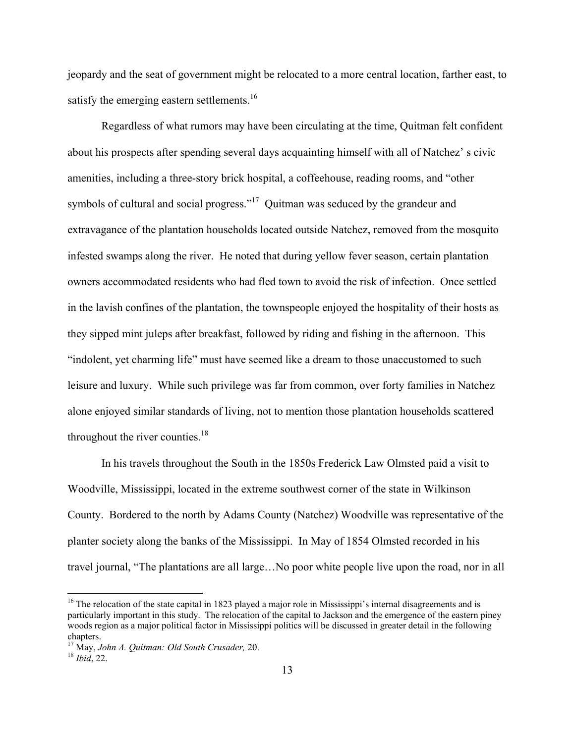jeopardy and the seat of government might be relocated to a more central location, farther east, to satisfy the emerging eastern settlements.<sup>16</sup>

Regardless of what rumors may have been circulating at the time, Quitman felt confident about his prospects after spending several days acquainting himself with all of Natchez' s civic amenities, including a three-story brick hospital, a coffeehouse, reading rooms, and "other symbols of cultural and social progress."<sup>17</sup> Quitman was seduced by the grandeur and extravagance of the plantation households located outside Natchez, removed from the mosquito infested swamps along the river. He noted that during yellow fever season, certain plantation owners accommodated residents who had fled town to avoid the risk of infection. Once settled in the lavish confines of the plantation, the townspeople enjoyed the hospitality of their hosts as they sipped mint juleps after breakfast, followed by riding and fishing in the afternoon. This "indolent, yet charming life" must have seemed like a dream to those unaccustomed to such leisure and luxury. While such privilege was far from common, over forty families in Natchez alone enjoyed similar standards of living, not to mention those plantation households scattered throughout the river counties. $18$ 

In his travels throughout the South in the 1850s Frederick Law Olmsted paid a visit to Woodville, Mississippi, located in the extreme southwest corner of the state in Wilkinson County. Bordered to the north by Adams County (Natchez) Woodville was representative of the planter society along the banks of the Mississippi. In May of 1854 Olmsted recorded in his travel journal, "The plantations are all large…No poor white people live upon the road, nor in all

 $16$  The relocation of the state capital in 1823 played a major role in Mississippi's internal disagreements and is particularly important in this study. The relocation of the capital to Jackson and the emergence of the eastern piney woods region as a major political factor in Mississippi politics will be discussed in greater detail in the following chapters.

<sup>17</sup> May, *John A. Quitman: Old South Crusader,* 20. 18 *Ibid*, 22.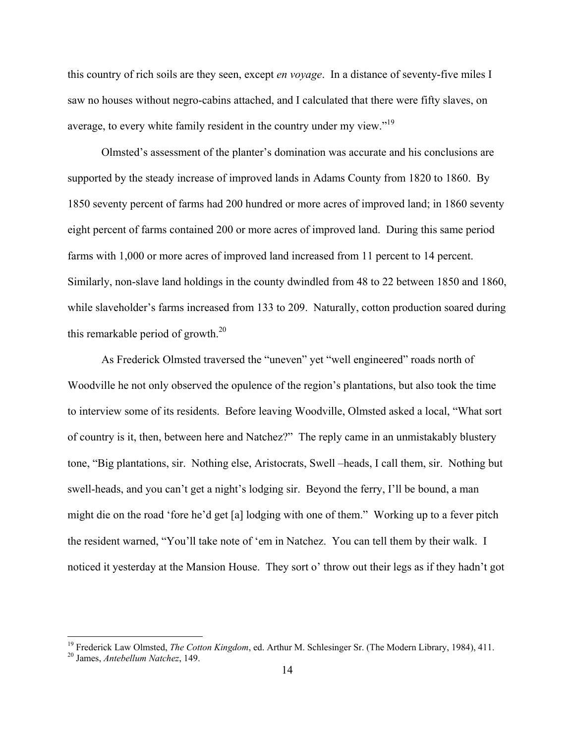this country of rich soils are they seen, except *en voyage*. In a distance of seventy-five miles I saw no houses without negro-cabins attached, and I calculated that there were fifty slaves, on average, to every white family resident in the country under my view."19

Olmsted's assessment of the planter's domination was accurate and his conclusions are supported by the steady increase of improved lands in Adams County from 1820 to 1860. By 1850 seventy percent of farms had 200 hundred or more acres of improved land; in 1860 seventy eight percent of farms contained 200 or more acres of improved land. During this same period farms with 1,000 or more acres of improved land increased from 11 percent to 14 percent. Similarly, non-slave land holdings in the county dwindled from 48 to 22 between 1850 and 1860, while slaveholder's farms increased from 133 to 209. Naturally, cotton production soared during this remarkable period of growth.20

As Frederick Olmsted traversed the "uneven" yet "well engineered" roads north of Woodville he not only observed the opulence of the region's plantations, but also took the time to interview some of its residents. Before leaving Woodville, Olmsted asked a local, "What sort of country is it, then, between here and Natchez?" The reply came in an unmistakably blustery tone, "Big plantations, sir. Nothing else, Aristocrats, Swell –heads, I call them, sir. Nothing but swell-heads, and you can't get a night's lodging sir. Beyond the ferry, I'll be bound, a man might die on the road 'fore he'd get [a] lodging with one of them." Working up to a fever pitch the resident warned, "You'll take note of 'em in Natchez. You can tell them by their walk. I noticed it yesterday at the Mansion House. They sort o' throw out their legs as if they hadn't got

1

<sup>&</sup>lt;sup>19</sup> Frederick Law Olmsted, *The Cotton Kingdom*, ed. Arthur M. Schlesinger Sr. (The Modern Library, 1984), 411.<br><sup>20</sup> James, *Antebellum Natchez*, 149.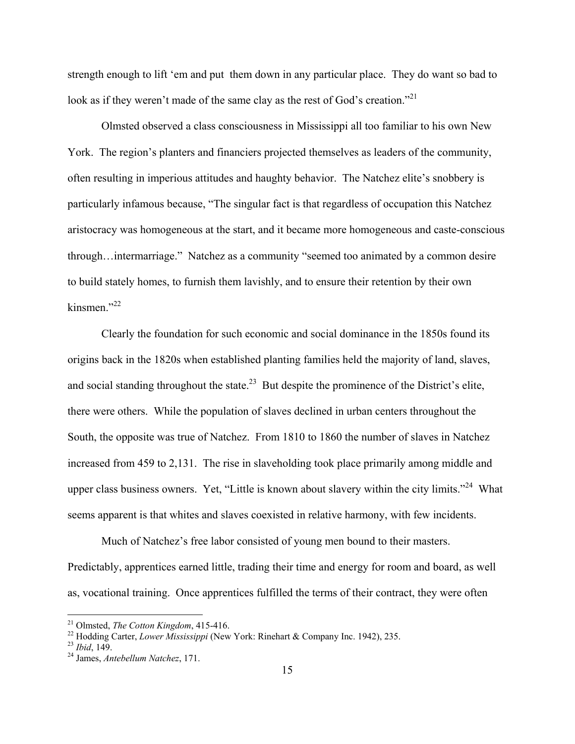strength enough to lift 'em and put them down in any particular place. They do want so bad to look as if they weren't made of the same clay as the rest of God's creation."<sup>21</sup>

Olmsted observed a class consciousness in Mississippi all too familiar to his own New York. The region's planters and financiers projected themselves as leaders of the community, often resulting in imperious attitudes and haughty behavior. The Natchez elite's snobbery is particularly infamous because, "The singular fact is that regardless of occupation this Natchez aristocracy was homogeneous at the start, and it became more homogeneous and caste-conscious through…intermarriage." Natchez as a community "seemed too animated by a common desire to build stately homes, to furnish them lavishly, and to ensure their retention by their own kinsmen $^{32}$ 

Clearly the foundation for such economic and social dominance in the 1850s found its origins back in the 1820s when established planting families held the majority of land, slaves, and social standing throughout the state.<sup>23</sup> But despite the prominence of the District's elite, there were others. While the population of slaves declined in urban centers throughout the South, the opposite was true of Natchez. From 1810 to 1860 the number of slaves in Natchez increased from 459 to 2,131. The rise in slaveholding took place primarily among middle and upper class business owners. Yet, "Little is known about slavery within the city limits."<sup>24</sup> What seems apparent is that whites and slaves coexisted in relative harmony, with few incidents.

Much of Natchez's free labor consisted of young men bound to their masters. Predictably, apprentices earned little, trading their time and energy for room and board, as well as, vocational training. Once apprentices fulfilled the terms of their contract, they were often

<sup>&</sup>lt;sup>21</sup> Olmsted, *The Cotton Kingdom*, 415-416.

<sup>&</sup>lt;sup>22</sup> Hodding Carter, *Lower Mississippi* (New York: Rinehart & Company Inc. 1942), 235. *23 Ibid*, 149. <sup>24</sup> James. *Antebellum Natchez*, 171.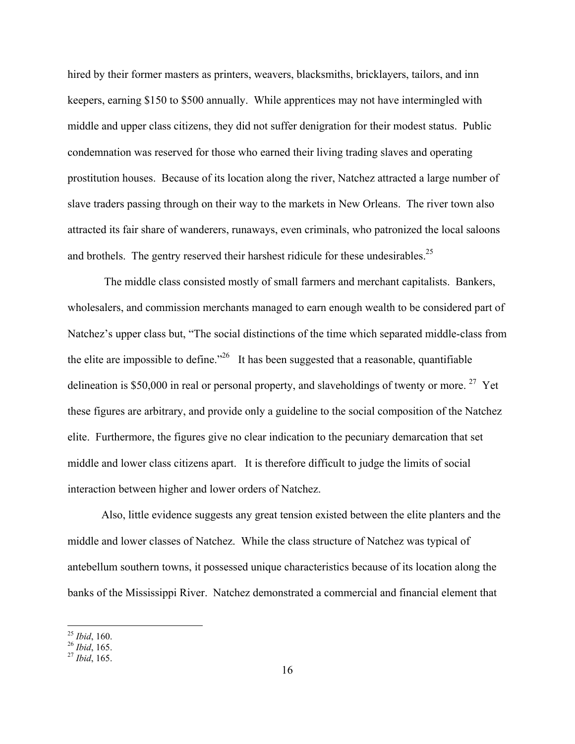hired by their former masters as printers, weavers, blacksmiths, bricklayers, tailors, and inn keepers, earning \$150 to \$500 annually. While apprentices may not have intermingled with middle and upper class citizens, they did not suffer denigration for their modest status. Public condemnation was reserved for those who earned their living trading slaves and operating prostitution houses. Because of its location along the river, Natchez attracted a large number of slave traders passing through on their way to the markets in New Orleans. The river town also attracted its fair share of wanderers, runaways, even criminals, who patronized the local saloons and brothels. The gentry reserved their harshest ridicule for these undesirables.<sup>25</sup>

 The middle class consisted mostly of small farmers and merchant capitalists. Bankers, wholesalers, and commission merchants managed to earn enough wealth to be considered part of Natchez's upper class but, "The social distinctions of the time which separated middle-class from the elite are impossible to define.<sup> $26$ </sup> It has been suggested that a reasonable, quantifiable delineation is \$50,000 in real or personal property, and slaveholdings of twenty or more. <sup>27</sup> Yet these figures are arbitrary, and provide only a guideline to the social composition of the Natchez elite. Furthermore, the figures give no clear indication to the pecuniary demarcation that set middle and lower class citizens apart. It is therefore difficult to judge the limits of social interaction between higher and lower orders of Natchez.

Also, little evidence suggests any great tension existed between the elite planters and the middle and lower classes of Natchez. While the class structure of Natchez was typical of antebellum southern towns, it possessed unique characteristics because of its location along the banks of the Mississippi River. Natchez demonstrated a commercial and financial element that

 $^{25}$  Ibid, 160.

<sup>25</sup> *Ibid*, 160. 26 *Ibid*, 165. 27 *Ibid*, 165.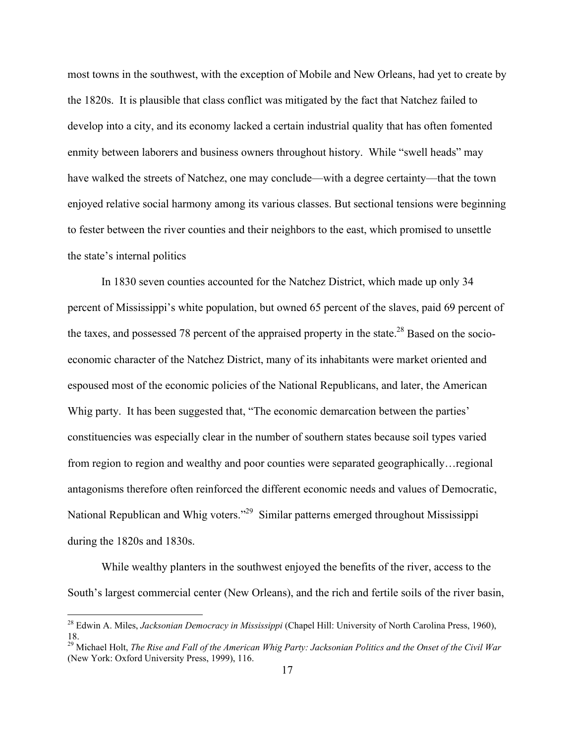most towns in the southwest, with the exception of Mobile and New Orleans, had yet to create by the 1820s. It is plausible that class conflict was mitigated by the fact that Natchez failed to develop into a city, and its economy lacked a certain industrial quality that has often fomented enmity between laborers and business owners throughout history. While "swell heads" may have walked the streets of Natchez, one may conclude—with a degree certainty—that the town enjoyed relative social harmony among its various classes. But sectional tensions were beginning to fester between the river counties and their neighbors to the east, which promised to unsettle the state's internal politics

In 1830 seven counties accounted for the Natchez District, which made up only 34 percent of Mississippi's white population, but owned 65 percent of the slaves, paid 69 percent of the taxes, and possessed 78 percent of the appraised property in the state.<sup>28</sup> Based on the socioeconomic character of the Natchez District, many of its inhabitants were market oriented and espoused most of the economic policies of the National Republicans, and later, the American Whig party. It has been suggested that, "The economic demarcation between the parties' constituencies was especially clear in the number of southern states because soil types varied from region to region and wealthy and poor counties were separated geographically…regional antagonisms therefore often reinforced the different economic needs and values of Democratic, National Republican and Whig voters."29 Similar patterns emerged throughout Mississippi during the 1820s and 1830s.

While wealthy planters in the southwest enjoyed the benefits of the river, access to the South's largest commercial center (New Orleans), and the rich and fertile soils of the river basin,

<sup>28</sup> Edwin A. Miles, *Jacksonian Democracy in Mississippi* (Chapel Hill: University of North Carolina Press, 1960), 18.

<sup>29</sup> Michael Holt, *The Rise and Fall of the American Whig Party: Jacksonian Politics and the Onset of the Civil War* (New York: Oxford University Press, 1999), 116.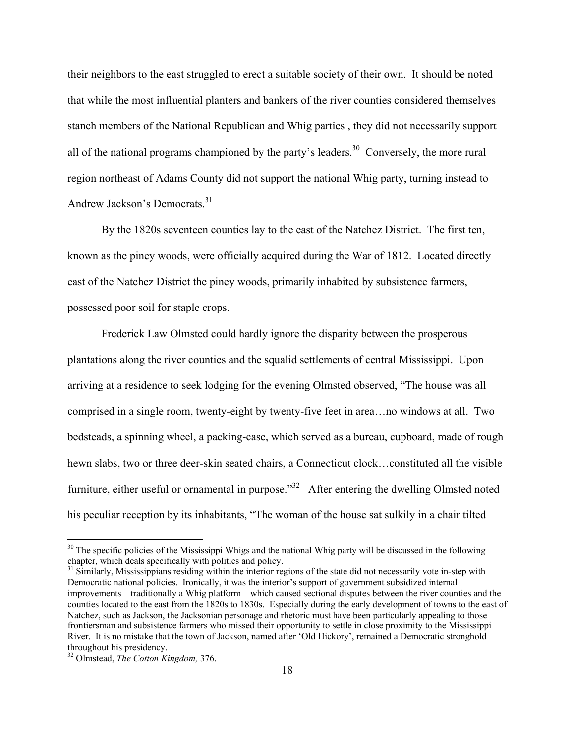their neighbors to the east struggled to erect a suitable society of their own. It should be noted that while the most influential planters and bankers of the river counties considered themselves stanch members of the National Republican and Whig parties , they did not necessarily support all of the national programs championed by the party's leaders.<sup>30</sup> Conversely, the more rural region northeast of Adams County did not support the national Whig party, turning instead to Andrew Jackson's Democrats.31

By the 1820s seventeen counties lay to the east of the Natchez District. The first ten, known as the piney woods, were officially acquired during the War of 1812. Located directly east of the Natchez District the piney woods, primarily inhabited by subsistence farmers, possessed poor soil for staple crops.

Frederick Law Olmsted could hardly ignore the disparity between the prosperous plantations along the river counties and the squalid settlements of central Mississippi. Upon arriving at a residence to seek lodging for the evening Olmsted observed, "The house was all comprised in a single room, twenty-eight by twenty-five feet in area…no windows at all. Two bedsteads, a spinning wheel, a packing-case, which served as a bureau, cupboard, made of rough hewn slabs, two or three deer-skin seated chairs, a Connecticut clock…constituted all the visible furniture, either useful or ornamental in purpose."<sup>32</sup> After entering the dwelling Olmsted noted his peculiar reception by its inhabitants, "The woman of the house sat sulkily in a chair tilted

1

 $30$  The specific policies of the Mississippi Whigs and the national Whig party will be discussed in the following chapter, which deals specifically with politics and policy.

<sup>&</sup>lt;sup>31</sup> Similarly, Mississippians residing within the interior regions of the state did not necessarily vote in-step with Democratic national policies. Ironically, it was the interior's support of government subsidized internal improvements—traditionally a Whig platform—which caused sectional disputes between the river counties and the counties located to the east from the 1820s to 1830s. Especially during the early development of towns to the east of Natchez, such as Jackson, the Jacksonian personage and rhetoric must have been particularly appealing to those frontiersman and subsistence farmers who missed their opportunity to settle in close proximity to the Mississippi River. It is no mistake that the town of Jackson, named after 'Old Hickory', remained a Democratic stronghold throughout his presidency.

<sup>32</sup> Olmstead, *The Cotton Kingdom,* 376.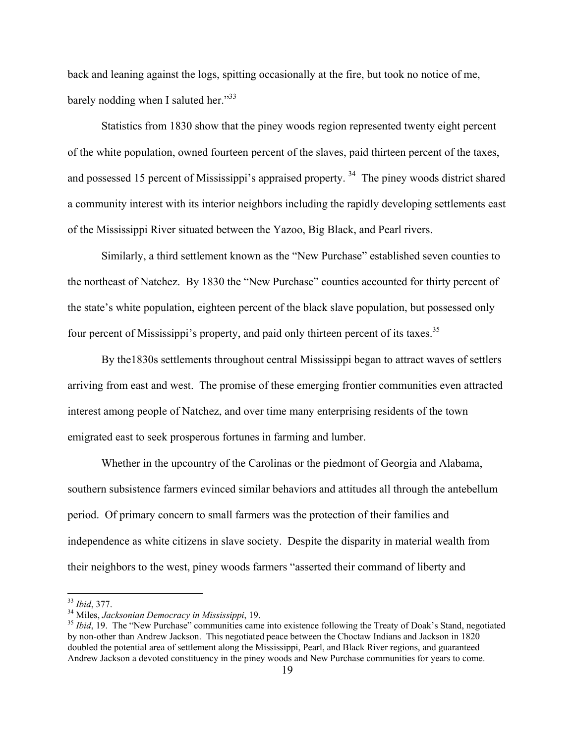back and leaning against the logs, spitting occasionally at the fire, but took no notice of me, barely nodding when I saluted her."<sup>33</sup>

Statistics from 1830 show that the piney woods region represented twenty eight percent of the white population, owned fourteen percent of the slaves, paid thirteen percent of the taxes, and possessed 15 percent of Mississippi's appraised property.<sup>34</sup> The piney woods district shared a community interest with its interior neighbors including the rapidly developing settlements east of the Mississippi River situated between the Yazoo, Big Black, and Pearl rivers.

Similarly, a third settlement known as the "New Purchase" established seven counties to the northeast of Natchez. By 1830 the "New Purchase" counties accounted for thirty percent of the state's white population, eighteen percent of the black slave population, but possessed only four percent of Mississippi's property, and paid only thirteen percent of its taxes.<sup>35</sup>

By the1830s settlements throughout central Mississippi began to attract waves of settlers arriving from east and west. The promise of these emerging frontier communities even attracted interest among people of Natchez, and over time many enterprising residents of the town emigrated east to seek prosperous fortunes in farming and lumber.

Whether in the upcountry of the Carolinas or the piedmont of Georgia and Alabama, southern subsistence farmers evinced similar behaviors and attitudes all through the antebellum period. Of primary concern to small farmers was the protection of their families and independence as white citizens in slave society. Despite the disparity in material wealth from their neighbors to the west, piney woods farmers "asserted their command of liberty and

<sup>&</sup>lt;sup>33</sup> *Ibid*, 377.<br><sup>34</sup> Miles, *Jacksonian Democracy in Mississippi*, 19.<br><sup>35</sup> *Ibid*, 19. The "New Purchase" communities came into existence following the Treaty of Doak's Stand, negotiated by non-other than Andrew Jackson. This negotiated peace between the Choctaw Indians and Jackson in 1820 doubled the potential area of settlement along the Mississippi, Pearl, and Black River regions, and guaranteed Andrew Jackson a devoted constituency in the piney woods and New Purchase communities for years to come.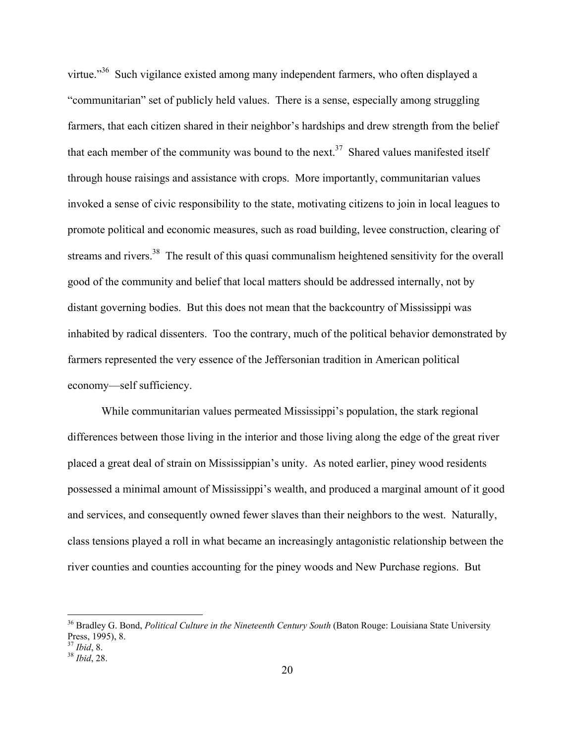virtue."<sup>36</sup> Such vigilance existed among many independent farmers, who often displayed a "communitarian" set of publicly held values. There is a sense, especially among struggling farmers, that each citizen shared in their neighbor's hardships and drew strength from the belief that each member of the community was bound to the next.<sup>37</sup> Shared values manifested itself through house raisings and assistance with crops. More importantly, communitarian values invoked a sense of civic responsibility to the state, motivating citizens to join in local leagues to promote political and economic measures, such as road building, levee construction, clearing of streams and rivers.<sup>38</sup> The result of this quasi communalism heightened sensitivity for the overall good of the community and belief that local matters should be addressed internally, not by distant governing bodies. But this does not mean that the backcountry of Mississippi was inhabited by radical dissenters. Too the contrary, much of the political behavior demonstrated by farmers represented the very essence of the Jeffersonian tradition in American political economy—self sufficiency.

While communitarian values permeated Mississippi's population, the stark regional differences between those living in the interior and those living along the edge of the great river placed a great deal of strain on Mississippian's unity. As noted earlier, piney wood residents possessed a minimal amount of Mississippi's wealth, and produced a marginal amount of it good and services, and consequently owned fewer slaves than their neighbors to the west. Naturally, class tensions played a roll in what became an increasingly antagonistic relationship between the river counties and counties accounting for the piney woods and New Purchase regions. But

<sup>36</sup> Bradley G. Bond, *Political Culture in the Nineteenth Century South* (Baton Rouge: Louisiana State University Press, 1995), 8.<br><sup>37</sup> *Ibid*, 8.

<sup>37</sup> *Ibid*, 8. 38 *Ibid*, 28.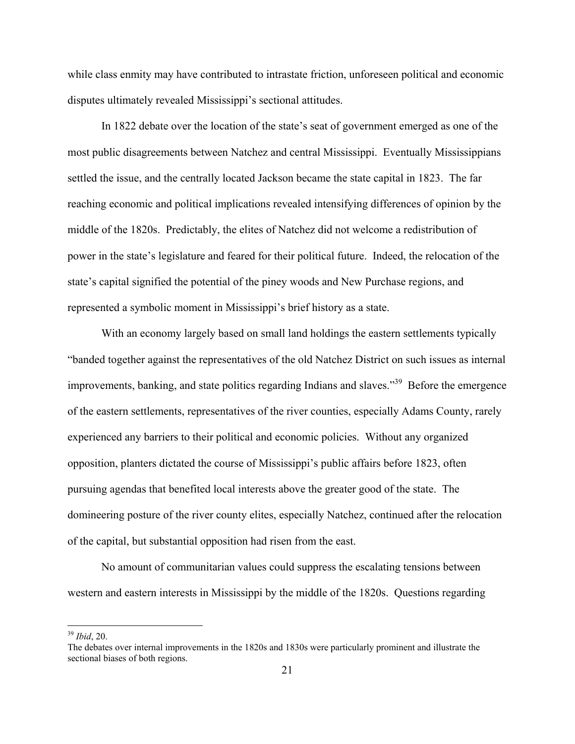while class enmity may have contributed to intrastate friction, unforeseen political and economic disputes ultimately revealed Mississippi's sectional attitudes.

In 1822 debate over the location of the state's seat of government emerged as one of the most public disagreements between Natchez and central Mississippi. Eventually Mississippians settled the issue, and the centrally located Jackson became the state capital in 1823. The far reaching economic and political implications revealed intensifying differences of opinion by the middle of the 1820s. Predictably, the elites of Natchez did not welcome a redistribution of power in the state's legislature and feared for their political future. Indeed, the relocation of the state's capital signified the potential of the piney woods and New Purchase regions, and represented a symbolic moment in Mississippi's brief history as a state.

With an economy largely based on small land holdings the eastern settlements typically "banded together against the representatives of the old Natchez District on such issues as internal improvements, banking, and state politics regarding Indians and slaves."<sup>39</sup> Before the emergence of the eastern settlements, representatives of the river counties, especially Adams County, rarely experienced any barriers to their political and economic policies. Without any organized opposition, planters dictated the course of Mississippi's public affairs before 1823, often pursuing agendas that benefited local interests above the greater good of the state. The domineering posture of the river county elites, especially Natchez, continued after the relocation of the capital, but substantial opposition had risen from the east.

No amount of communitarian values could suppress the escalating tensions between western and eastern interests in Mississippi by the middle of the 1820s. Questions regarding

<sup>39</sup> *Ibid*, 20.

The debates over internal improvements in the 1820s and 1830s were particularly prominent and illustrate the sectional biases of both regions.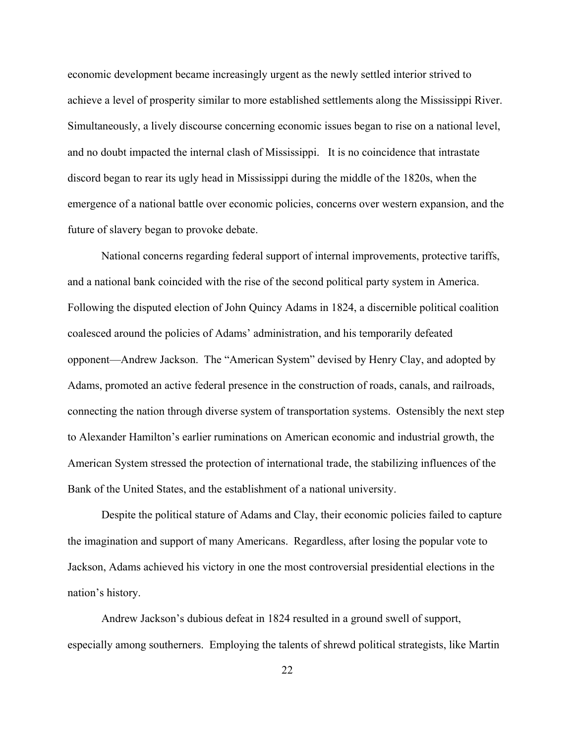economic development became increasingly urgent as the newly settled interior strived to achieve a level of prosperity similar to more established settlements along the Mississippi River. Simultaneously, a lively discourse concerning economic issues began to rise on a national level, and no doubt impacted the internal clash of Mississippi. It is no coincidence that intrastate discord began to rear its ugly head in Mississippi during the middle of the 1820s, when the emergence of a national battle over economic policies, concerns over western expansion, and the future of slavery began to provoke debate.

National concerns regarding federal support of internal improvements, protective tariffs, and a national bank coincided with the rise of the second political party system in America. Following the disputed election of John Quincy Adams in 1824, a discernible political coalition coalesced around the policies of Adams' administration, and his temporarily defeated opponent—Andrew Jackson. The "American System" devised by Henry Clay, and adopted by Adams, promoted an active federal presence in the construction of roads, canals, and railroads, connecting the nation through diverse system of transportation systems. Ostensibly the next step to Alexander Hamilton's earlier ruminations on American economic and industrial growth, the American System stressed the protection of international trade, the stabilizing influences of the Bank of the United States, and the establishment of a national university.

Despite the political stature of Adams and Clay, their economic policies failed to capture the imagination and support of many Americans. Regardless, after losing the popular vote to Jackson, Adams achieved his victory in one the most controversial presidential elections in the nation's history.

Andrew Jackson's dubious defeat in 1824 resulted in a ground swell of support, especially among southerners. Employing the talents of shrewd political strategists, like Martin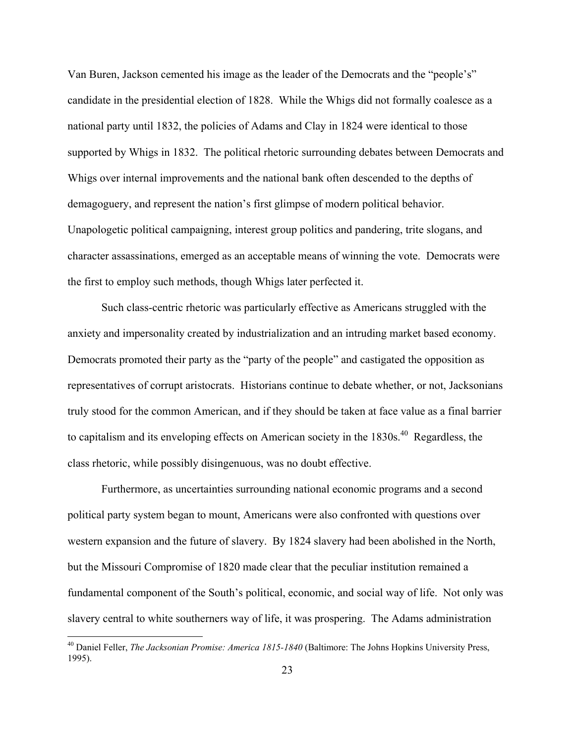Van Buren, Jackson cemented his image as the leader of the Democrats and the "people's" candidate in the presidential election of 1828. While the Whigs did not formally coalesce as a national party until 1832, the policies of Adams and Clay in 1824 were identical to those supported by Whigs in 1832. The political rhetoric surrounding debates between Democrats and Whigs over internal improvements and the national bank often descended to the depths of demagoguery, and represent the nation's first glimpse of modern political behavior. Unapologetic political campaigning, interest group politics and pandering, trite slogans, and character assassinations, emerged as an acceptable means of winning the vote. Democrats were the first to employ such methods, though Whigs later perfected it.

Such class-centric rhetoric was particularly effective as Americans struggled with the anxiety and impersonality created by industrialization and an intruding market based economy. Democrats promoted their party as the "party of the people" and castigated the opposition as representatives of corrupt aristocrats. Historians continue to debate whether, or not, Jacksonians truly stood for the common American, and if they should be taken at face value as a final barrier to capitalism and its enveloping effects on American society in the  $1830s<sup>40</sup>$  Regardless, the class rhetoric, while possibly disingenuous, was no doubt effective.

Furthermore, as uncertainties surrounding national economic programs and a second political party system began to mount, Americans were also confronted with questions over western expansion and the future of slavery. By 1824 slavery had been abolished in the North, but the Missouri Compromise of 1820 made clear that the peculiar institution remained a fundamental component of the South's political, economic, and social way of life. Not only was slavery central to white southerners way of life, it was prospering. The Adams administration

<sup>40</sup> Daniel Feller, *The Jacksonian Promise: America 1815-1840* (Baltimore: The Johns Hopkins University Press, 1995).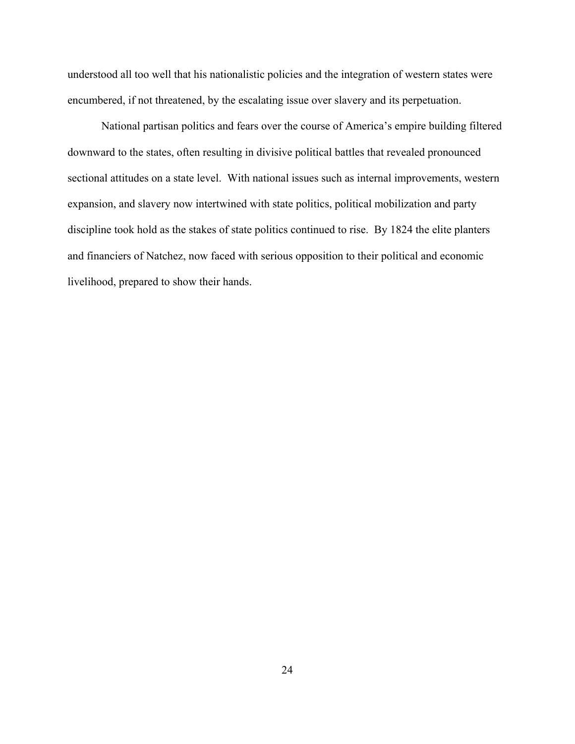understood all too well that his nationalistic policies and the integration of western states were encumbered, if not threatened, by the escalating issue over slavery and its perpetuation.

National partisan politics and fears over the course of America's empire building filtered downward to the states, often resulting in divisive political battles that revealed pronounced sectional attitudes on a state level. With national issues such as internal improvements, western expansion, and slavery now intertwined with state politics, political mobilization and party discipline took hold as the stakes of state politics continued to rise. By 1824 the elite planters and financiers of Natchez, now faced with serious opposition to their political and economic livelihood, prepared to show their hands.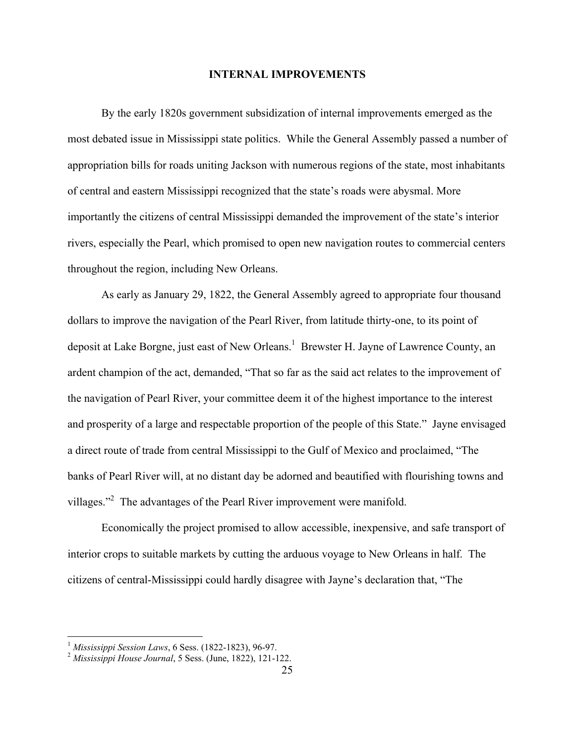#### **INTERNAL IMPROVEMENTS**

By the early 1820s government subsidization of internal improvements emerged as the most debated issue in Mississippi state politics. While the General Assembly passed a number of appropriation bills for roads uniting Jackson with numerous regions of the state, most inhabitants of central and eastern Mississippi recognized that the state's roads were abysmal. More importantly the citizens of central Mississippi demanded the improvement of the state's interior rivers, especially the Pearl, which promised to open new navigation routes to commercial centers throughout the region, including New Orleans.

As early as January 29, 1822, the General Assembly agreed to appropriate four thousand dollars to improve the navigation of the Pearl River, from latitude thirty-one, to its point of deposit at Lake Borgne, just east of New Orleans.<sup>1</sup> Brewster H. Jayne of Lawrence County, an ardent champion of the act, demanded, "That so far as the said act relates to the improvement of the navigation of Pearl River, your committee deem it of the highest importance to the interest and prosperity of a large and respectable proportion of the people of this State." Jayne envisaged a direct route of trade from central Mississippi to the Gulf of Mexico and proclaimed, "The banks of Pearl River will, at no distant day be adorned and beautified with flourishing towns and villages."<sup>2</sup> The advantages of the Pearl River improvement were manifold.

Economically the project promised to allow accessible, inexpensive, and safe transport of interior crops to suitable markets by cutting the arduous voyage to New Orleans in half. The citizens of central-Mississippi could hardly disagree with Jayne's declaration that, "The

<sup>&</sup>lt;sup>1</sup> Mississippi Session Laws, 6 Sess. (1822-1823), 96-97.

<sup>&</sup>lt;sup>2</sup> *Mississippi House Journal*, 5 Sess. (June, 1822), 121-122.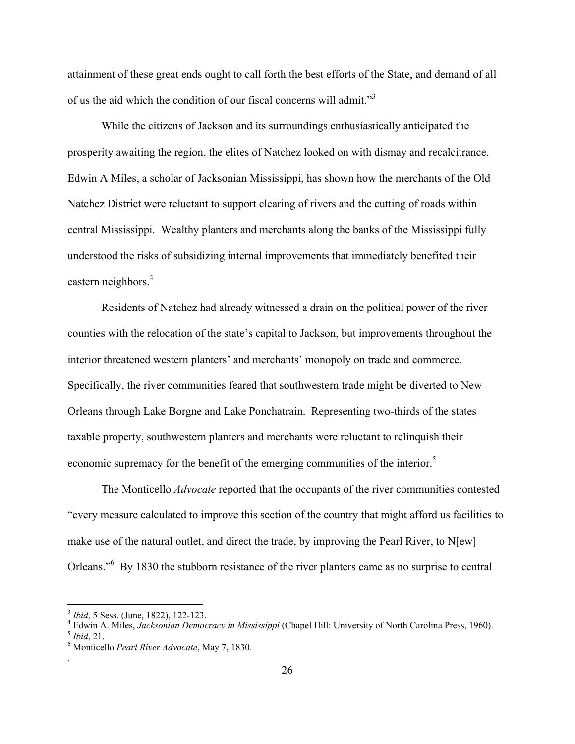attainment of these great ends ought to call forth the best efforts of the State, and demand of all of us the aid which the condition of our fiscal concerns will admit."<sup>3</sup>

While the citizens of Jackson and its surroundings enthusiastically anticipated the prosperity awaiting the region, the elites of Natchez looked on with dismay and recalcitrance. Edwin A Miles, a scholar of Jacksonian Mississippi, has shown how the merchants of the Old Natchez District were reluctant to support clearing of rivers and the cutting of roads within central Mississippi. Wealthy planters and merchants along the banks of the Mississippi fully understood the risks of subsidizing internal improvements that immediately benefited their eastern neighbors.<sup>4</sup>

Residents of Natchez had already witnessed a drain on the political power of the river counties with the relocation of the state's capital to Jackson, but improvements throughout the interior threatened western planters' and merchants' monopoly on trade and commerce. Specifically, the river communities feared that southwestern trade might be diverted to New Orleans through Lake Borgne and Lake Ponchatrain. Representing two-thirds of the states taxable property, southwestern planters and merchants were reluctant to relinquish their economic supremacy for the benefit of the emerging communities of the interior.<sup>5</sup>

The Monticello *Advocate* reported that the occupants of the river communities contested "every measure calculated to improve this section of the country that might afford us facilities to make use of the natural outlet, and direct the trade, by improving the Pearl River, to N[ew] Orleans."<sup>6</sup> By 1830 the stubborn resistance of the river planters came as no surprise to central

 $\overline{a}$ 

.

<sup>&</sup>lt;sup>3</sup> *Ibid*, 5 Sess. (June, 1822), 122-123.

<sup>&</sup>lt;sup>4</sup> Edwin A. Miles, *Jacksonian Democracy in Mississippi* (Chapel Hill: University of North Carolina Press, 1960).<br><sup>5</sup> *Ibid*, 21.

Monticello *Pearl River Advocate*, May 7, 1830.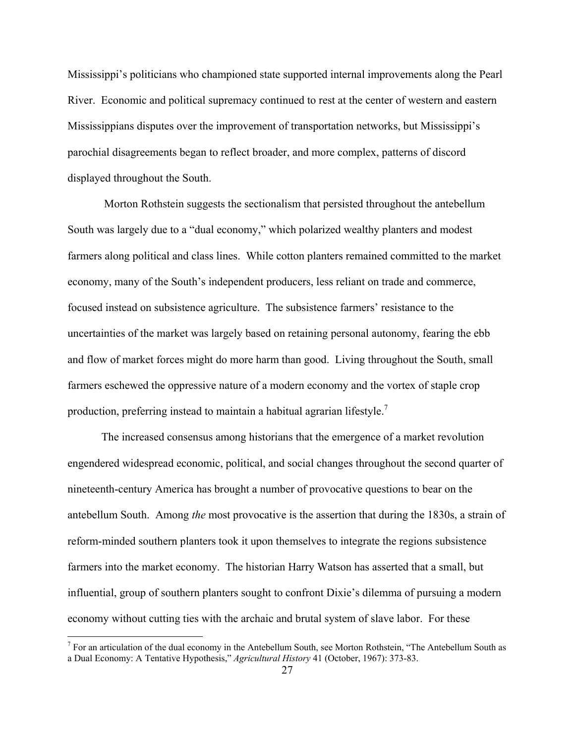Mississippi's politicians who championed state supported internal improvements along the Pearl River. Economic and political supremacy continued to rest at the center of western and eastern Mississippians disputes over the improvement of transportation networks, but Mississippi's parochial disagreements began to reflect broader, and more complex, patterns of discord displayed throughout the South.

 Morton Rothstein suggests the sectionalism that persisted throughout the antebellum South was largely due to a "dual economy," which polarized wealthy planters and modest farmers along political and class lines. While cotton planters remained committed to the market economy, many of the South's independent producers, less reliant on trade and commerce, focused instead on subsistence agriculture. The subsistence farmers' resistance to the uncertainties of the market was largely based on retaining personal autonomy, fearing the ebb and flow of market forces might do more harm than good. Living throughout the South, small farmers eschewed the oppressive nature of a modern economy and the vortex of staple crop production, preferring instead to maintain a habitual agrarian lifestyle.<sup>7</sup>

The increased consensus among historians that the emergence of a market revolution engendered widespread economic, political, and social changes throughout the second quarter of nineteenth-century America has brought a number of provocative questions to bear on the antebellum South. Among *the* most provocative is the assertion that during the 1830s, a strain of reform-minded southern planters took it upon themselves to integrate the regions subsistence farmers into the market economy. The historian Harry Watson has asserted that a small, but influential, group of southern planters sought to confront Dixie's dilemma of pursuing a modern economy without cutting ties with the archaic and brutal system of slave labor. For these

 $<sup>7</sup>$  For an articulation of the dual economy in the Antebellum South, see Morton Rothstein, "The Antebellum South as</sup> a Dual Economy: A Tentative Hypothesis," *Agricultural History* 41 (October, 1967): 373-83.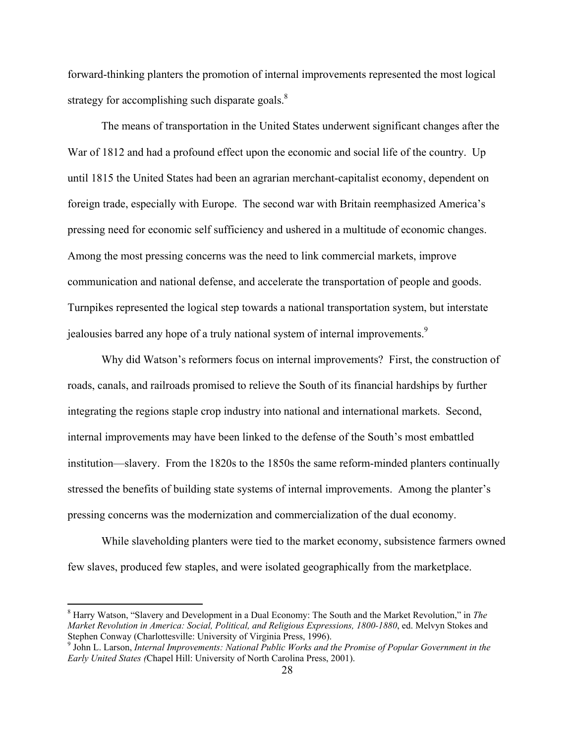forward-thinking planters the promotion of internal improvements represented the most logical strategy for accomplishing such disparate goals.<sup>8</sup>

The means of transportation in the United States underwent significant changes after the War of 1812 and had a profound effect upon the economic and social life of the country. Up until 1815 the United States had been an agrarian merchant-capitalist economy, dependent on foreign trade, especially with Europe. The second war with Britain reemphasized America's pressing need for economic self sufficiency and ushered in a multitude of economic changes. Among the most pressing concerns was the need to link commercial markets, improve communication and national defense, and accelerate the transportation of people and goods. Turnpikes represented the logical step towards a national transportation system, but interstate jealousies barred any hope of a truly national system of internal improvements.<sup>9</sup>

Why did Watson's reformers focus on internal improvements? First, the construction of roads, canals, and railroads promised to relieve the South of its financial hardships by further integrating the regions staple crop industry into national and international markets. Second, internal improvements may have been linked to the defense of the South's most embattled institution—slavery. From the 1820s to the 1850s the same reform-minded planters continually stressed the benefits of building state systems of internal improvements. Among the planter's pressing concerns was the modernization and commercialization of the dual economy.

While slaveholding planters were tied to the market economy, subsistence farmers owned few slaves, produced few staples, and were isolated geographically from the marketplace.

1

<sup>8</sup> Harry Watson, "Slavery and Development in a Dual Economy: The South and the Market Revolution," in *The Market Revolution in America: Social, Political, and Religious Expressions, 1800-1880*, ed. Melvyn Stokes and Stephen Conway (Charlottesville: University of Virginia Press, 1996).

<sup>9</sup> John L. Larson, *Internal Improvements: National Public Works and the Promise of Popular Government in the Early United States (*Chapel Hill: University of North Carolina Press, 2001).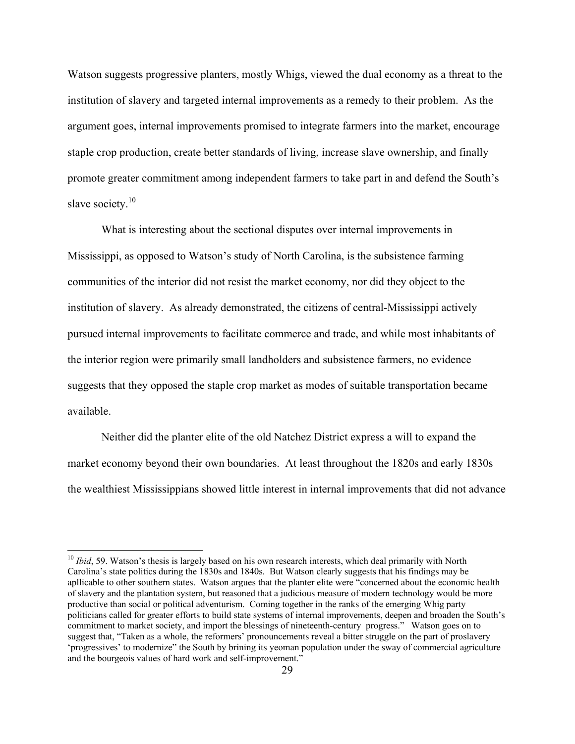Watson suggests progressive planters, mostly Whigs, viewed the dual economy as a threat to the institution of slavery and targeted internal improvements as a remedy to their problem. As the argument goes, internal improvements promised to integrate farmers into the market, encourage staple crop production, create better standards of living, increase slave ownership, and finally promote greater commitment among independent farmers to take part in and defend the South's slave society.<sup>10</sup>

What is interesting about the sectional disputes over internal improvements in Mississippi, as opposed to Watson's study of North Carolina, is the subsistence farming communities of the interior did not resist the market economy, nor did they object to the institution of slavery. As already demonstrated, the citizens of central-Mississippi actively pursued internal improvements to facilitate commerce and trade, and while most inhabitants of the interior region were primarily small landholders and subsistence farmers, no evidence suggests that they opposed the staple crop market as modes of suitable transportation became available.

Neither did the planter elite of the old Natchez District express a will to expand the market economy beyond their own boundaries. At least throughout the 1820s and early 1830s the wealthiest Mississippians showed little interest in internal improvements that did not advance

<sup>&</sup>lt;sup>10</sup> *Ibid*, 59. Watson's thesis is largely based on his own research interests, which deal primarily with North Carolina's state politics during the 1830s and 1840s. But Watson clearly suggests that his findings may be apllicable to other southern states. Watson argues that the planter elite were "concerned about the economic health of slavery and the plantation system, but reasoned that a judicious measure of modern technology would be more productive than social or political adventurism. Coming together in the ranks of the emerging Whig party politicians called for greater efforts to build state systems of internal improvements, deepen and broaden the South's commitment to market society, and import the blessings of nineteenth-century progress." Watson goes on to suggest that, "Taken as a whole, the reformers' pronouncements reveal a bitter struggle on the part of proslavery 'progressives' to modernize" the South by brining its yeoman population under the sway of commercial agriculture and the bourgeois values of hard work and self-improvement."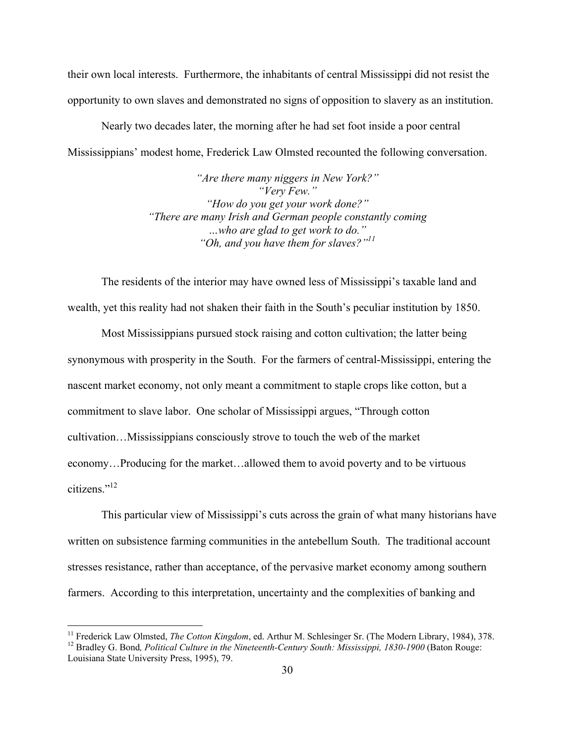their own local interests. Furthermore, the inhabitants of central Mississippi did not resist the opportunity to own slaves and demonstrated no signs of opposition to slavery as an institution.

Nearly two decades later, the morning after he had set foot inside a poor central Mississippians' modest home, Frederick Law Olmsted recounted the following conversation.

> *"Are there many niggers in New York?" "Very Few." "How do you get your work done?" "There are many Irish and German people constantly coming …who are glad to get work to do." "Oh, and you have them for slaves?"11*

The residents of the interior may have owned less of Mississippi's taxable land and wealth, yet this reality had not shaken their faith in the South's peculiar institution by 1850.

Most Mississippians pursued stock raising and cotton cultivation; the latter being synonymous with prosperity in the South. For the farmers of central-Mississippi, entering the nascent market economy, not only meant a commitment to staple crops like cotton, but a commitment to slave labor. One scholar of Mississippi argues, "Through cotton cultivation…Mississippians consciously strove to touch the web of the market economy…Producing for the market…allowed them to avoid poverty and to be virtuous citizens."12

This particular view of Mississippi's cuts across the grain of what many historians have written on subsistence farming communities in the antebellum South. The traditional account stresses resistance, rather than acceptance, of the pervasive market economy among southern farmers. According to this interpretation, uncertainty and the complexities of banking and

<sup>&</sup>lt;sup>11</sup> Frederick Law Olmsted, *The Cotton Kingdom*, ed. Arthur M. Schlesinger Sr. (The Modern Library, 1984), 378.<br><sup>12</sup> Bradlev G. Bond, *Political Culture in the Nineteenth-Century South: Mississippi, 1830-1900 (Baton Roug* 

Louisiana State University Press, 1995), 79.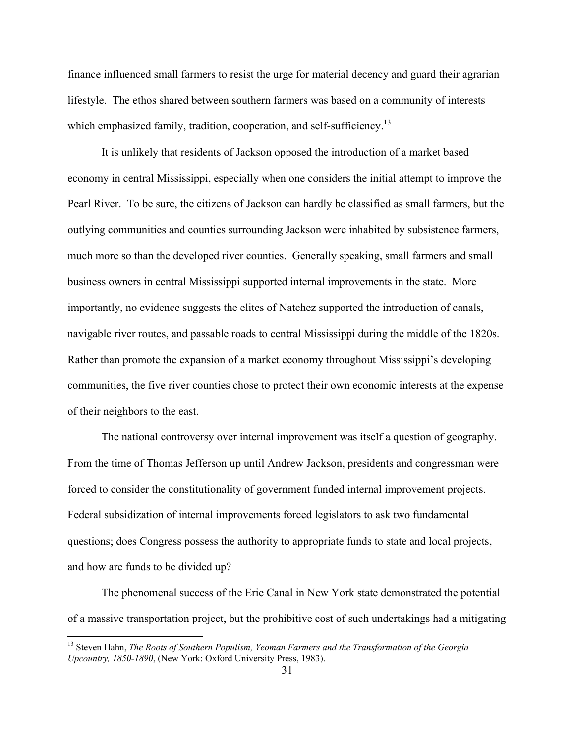finance influenced small farmers to resist the urge for material decency and guard their agrarian lifestyle. The ethos shared between southern farmers was based on a community of interests which emphasized family, tradition, cooperation, and self-sufficiency.<sup>13</sup>

It is unlikely that residents of Jackson opposed the introduction of a market based economy in central Mississippi, especially when one considers the initial attempt to improve the Pearl River. To be sure, the citizens of Jackson can hardly be classified as small farmers, but the outlying communities and counties surrounding Jackson were inhabited by subsistence farmers, much more so than the developed river counties. Generally speaking, small farmers and small business owners in central Mississippi supported internal improvements in the state. More importantly, no evidence suggests the elites of Natchez supported the introduction of canals, navigable river routes, and passable roads to central Mississippi during the middle of the 1820s. Rather than promote the expansion of a market economy throughout Mississippi's developing communities, the five river counties chose to protect their own economic interests at the expense of their neighbors to the east.

The national controversy over internal improvement was itself a question of geography. From the time of Thomas Jefferson up until Andrew Jackson, presidents and congressman were forced to consider the constitutionality of government funded internal improvement projects. Federal subsidization of internal improvements forced legislators to ask two fundamental questions; does Congress possess the authority to appropriate funds to state and local projects, and how are funds to be divided up?

The phenomenal success of the Erie Canal in New York state demonstrated the potential of a massive transportation project, but the prohibitive cost of such undertakings had a mitigating

<sup>&</sup>lt;sup>13</sup> Steven Hahn, *The Roots of Southern Populism, Yeoman Farmers and the Transformation of the Georgia Upcountry, 1850-1890*, (New York: Oxford University Press, 1983).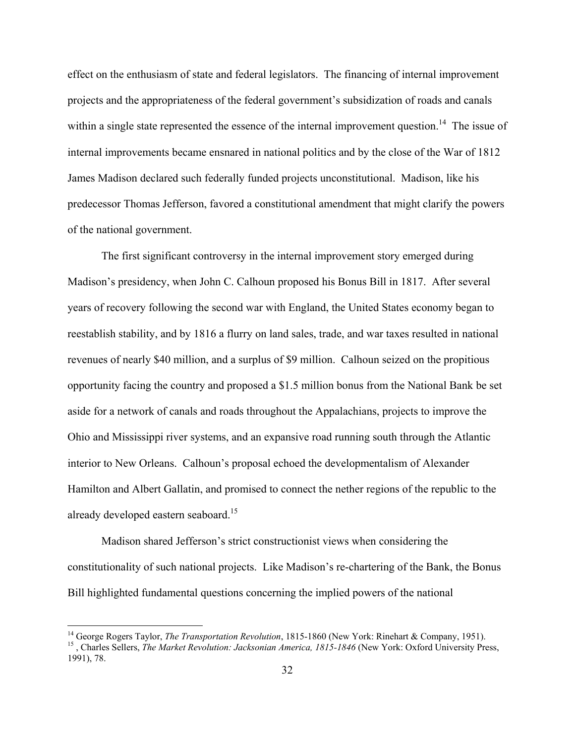effect on the enthusiasm of state and federal legislators. The financing of internal improvement projects and the appropriateness of the federal government's subsidization of roads and canals within a single state represented the essence of the internal improvement question.<sup>14</sup> The issue of internal improvements became ensnared in national politics and by the close of the War of 1812 James Madison declared such federally funded projects unconstitutional. Madison, like his predecessor Thomas Jefferson, favored a constitutional amendment that might clarify the powers of the national government.

The first significant controversy in the internal improvement story emerged during Madison's presidency, when John C. Calhoun proposed his Bonus Bill in 1817. After several years of recovery following the second war with England, the United States economy began to reestablish stability, and by 1816 a flurry on land sales, trade, and war taxes resulted in national revenues of nearly \$40 million, and a surplus of \$9 million. Calhoun seized on the propitious opportunity facing the country and proposed a \$1.5 million bonus from the National Bank be set aside for a network of canals and roads throughout the Appalachians, projects to improve the Ohio and Mississippi river systems, and an expansive road running south through the Atlantic interior to New Orleans. Calhoun's proposal echoed the developmentalism of Alexander Hamilton and Albert Gallatin, and promised to connect the nether regions of the republic to the already developed eastern seaboard.<sup>15</sup>

 Madison shared Jefferson's strict constructionist views when considering the constitutionality of such national projects. Like Madison's re-chartering of the Bank, the Bonus Bill highlighted fundamental questions concerning the implied powers of the national

<sup>&</sup>lt;sup>14</sup> George Rogers Taylor, *The Transportation Revolution*, 1815-1860 (New York: Rinehart & Company, 1951).<br><sup>15</sup>, Charles Sellers, *The Market Revolution: Jacksonian America, 1815-1846* (New York: Oxford University Press, 1991), 78.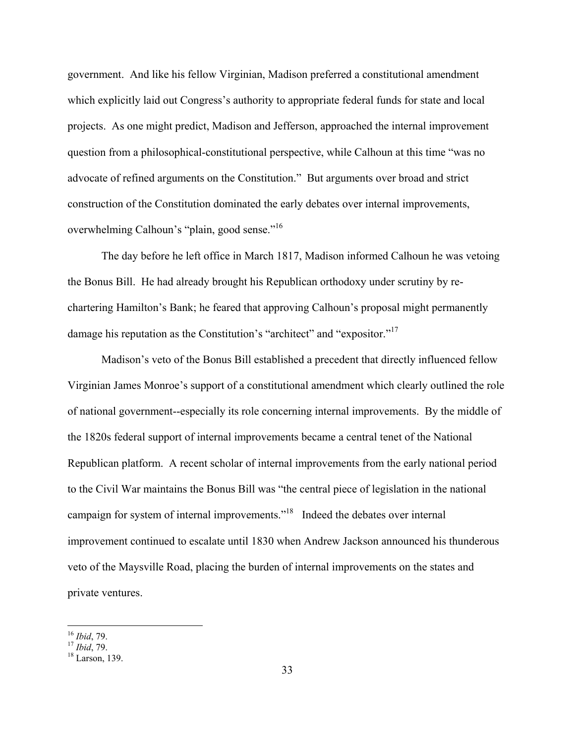government. And like his fellow Virginian, Madison preferred a constitutional amendment which explicitly laid out Congress's authority to appropriate federal funds for state and local projects. As one might predict, Madison and Jefferson, approached the internal improvement question from a philosophical-constitutional perspective, while Calhoun at this time "was no advocate of refined arguments on the Constitution." But arguments over broad and strict construction of the Constitution dominated the early debates over internal improvements, overwhelming Calhoun's "plain, good sense."<sup>16</sup>

The day before he left office in March 1817, Madison informed Calhoun he was vetoing the Bonus Bill. He had already brought his Republican orthodoxy under scrutiny by rechartering Hamilton's Bank; he feared that approving Calhoun's proposal might permanently damage his reputation as the Constitution's "architect" and "expositor."<sup>17</sup>

 Madison's veto of the Bonus Bill established a precedent that directly influenced fellow Virginian James Monroe's support of a constitutional amendment which clearly outlined the role of national government--especially its role concerning internal improvements. By the middle of the 1820s federal support of internal improvements became a central tenet of the National Republican platform. A recent scholar of internal improvements from the early national period to the Civil War maintains the Bonus Bill was "the central piece of legislation in the national campaign for system of internal improvements."18 Indeed the debates over internal improvement continued to escalate until 1830 when Andrew Jackson announced his thunderous veto of the Maysville Road, placing the burden of internal improvements on the states and private ventures.

<sup>&</sup>lt;sup>16</sup> *Ibid*, 79.<br><sup>17</sup> *Ibid*, 79.<br><sup>18</sup> Larson, 139.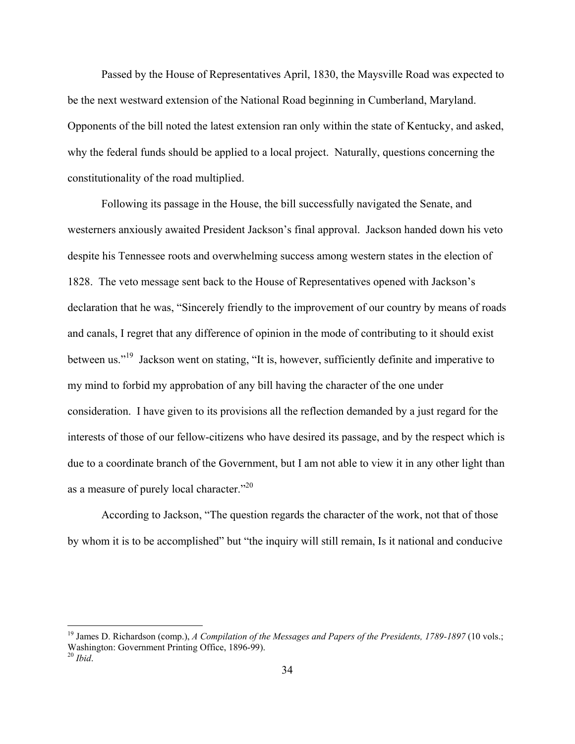Passed by the House of Representatives April, 1830, the Maysville Road was expected to be the next westward extension of the National Road beginning in Cumberland, Maryland. Opponents of the bill noted the latest extension ran only within the state of Kentucky, and asked, why the federal funds should be applied to a local project. Naturally, questions concerning the constitutionality of the road multiplied.

Following its passage in the House, the bill successfully navigated the Senate, and westerners anxiously awaited President Jackson's final approval. Jackson handed down his veto despite his Tennessee roots and overwhelming success among western states in the election of 1828. The veto message sent back to the House of Representatives opened with Jackson's declaration that he was, "Sincerely friendly to the improvement of our country by means of roads and canals, I regret that any difference of opinion in the mode of contributing to it should exist between us."<sup>19</sup> Jackson went on stating, "It is, however, sufficiently definite and imperative to my mind to forbid my approbation of any bill having the character of the one under consideration. I have given to its provisions all the reflection demanded by a just regard for the interests of those of our fellow-citizens who have desired its passage, and by the respect which is due to a coordinate branch of the Government, but I am not able to view it in any other light than as a measure of purely local character."<sup>20</sup>

According to Jackson, "The question regards the character of the work, not that of those by whom it is to be accomplished" but "the inquiry will still remain, Is it national and conducive

<sup>&</sup>lt;sup>19</sup> James D. Richardson (comp.), *A Compilation of the Messages and Papers of the Presidents, 1789-1897* (10 vols.; Washington: Government Printing Office, 1896-99).

<sup>20</sup> *Ibid*.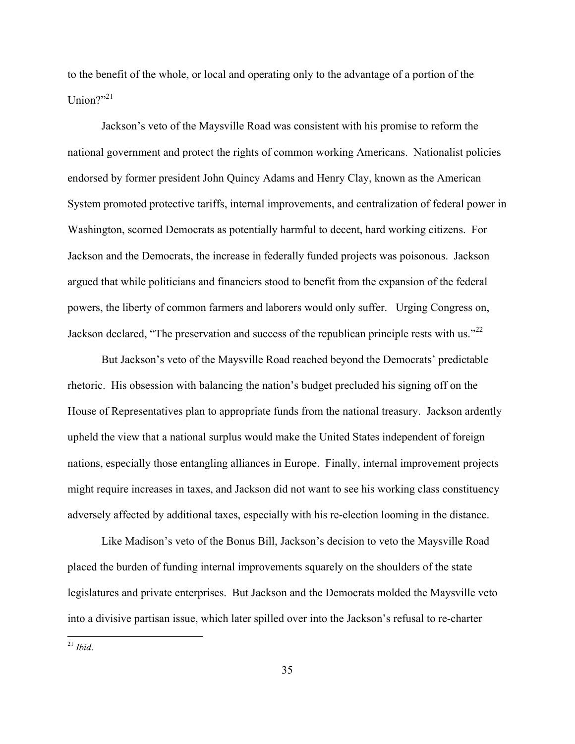to the benefit of the whole, or local and operating only to the advantage of a portion of the Union?"21

Jackson's veto of the Maysville Road was consistent with his promise to reform the national government and protect the rights of common working Americans. Nationalist policies endorsed by former president John Quincy Adams and Henry Clay, known as the American System promoted protective tariffs, internal improvements, and centralization of federal power in Washington, scorned Democrats as potentially harmful to decent, hard working citizens. For Jackson and the Democrats, the increase in federally funded projects was poisonous. Jackson argued that while politicians and financiers stood to benefit from the expansion of the federal powers, the liberty of common farmers and laborers would only suffer. Urging Congress on, Jackson declared, "The preservation and success of the republican principle rests with us."<sup>22</sup>

But Jackson's veto of the Maysville Road reached beyond the Democrats' predictable rhetoric. His obsession with balancing the nation's budget precluded his signing off on the House of Representatives plan to appropriate funds from the national treasury. Jackson ardently upheld the view that a national surplus would make the United States independent of foreign nations, especially those entangling alliances in Europe. Finally, internal improvement projects might require increases in taxes, and Jackson did not want to see his working class constituency adversely affected by additional taxes, especially with his re-election looming in the distance.

Like Madison's veto of the Bonus Bill, Jackson's decision to veto the Maysville Road placed the burden of funding internal improvements squarely on the shoulders of the state legislatures and private enterprises. But Jackson and the Democrats molded the Maysville veto into a divisive partisan issue, which later spilled over into the Jackson's refusal to re-charter

1

<sup>21</sup> *Ibid*.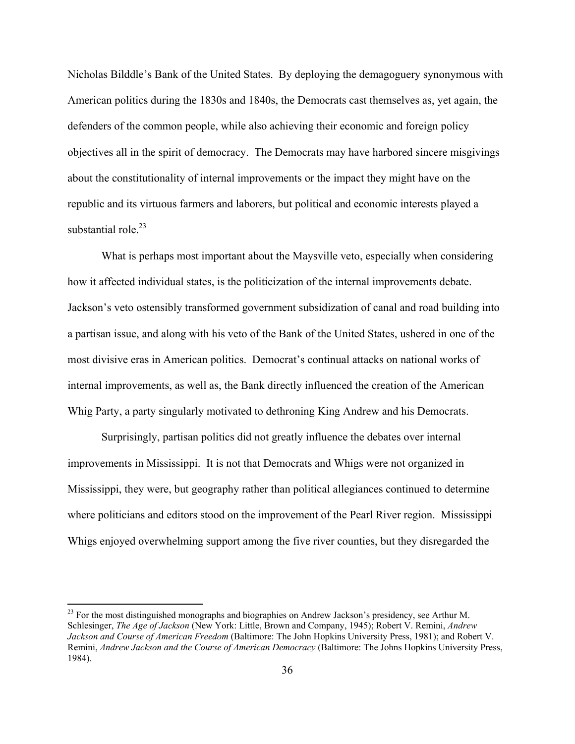Nicholas Bilddle's Bank of the United States. By deploying the demagoguery synonymous with American politics during the 1830s and 1840s, the Democrats cast themselves as, yet again, the defenders of the common people, while also achieving their economic and foreign policy objectives all in the spirit of democracy. The Democrats may have harbored sincere misgivings about the constitutionality of internal improvements or the impact they might have on the republic and its virtuous farmers and laborers, but political and economic interests played a substantial role. $^{23}$ 

What is perhaps most important about the Maysville veto, especially when considering how it affected individual states, is the politicization of the internal improvements debate. Jackson's veto ostensibly transformed government subsidization of canal and road building into a partisan issue, and along with his veto of the Bank of the United States, ushered in one of the most divisive eras in American politics. Democrat's continual attacks on national works of internal improvements, as well as, the Bank directly influenced the creation of the American Whig Party, a party singularly motivated to dethroning King Andrew and his Democrats.

 Surprisingly, partisan politics did not greatly influence the debates over internal improvements in Mississippi. It is not that Democrats and Whigs were not organized in Mississippi, they were, but geography rather than political allegiances continued to determine where politicians and editors stood on the improvement of the Pearl River region. Mississippi Whigs enjoyed overwhelming support among the five river counties, but they disregarded the

1

 $^{23}$  For the most distinguished monographs and biographies on Andrew Jackson's presidency, see Arthur M. Schlesinger, *The Age of Jackson* (New York: Little, Brown and Company, 1945); Robert V. Remini, *Andrew Jackson and Course of American Freedom* (Baltimore: The John Hopkins University Press, 1981); and Robert V. Remini, *Andrew Jackson and the Course of American Democracy* (Baltimore: The Johns Hopkins University Press, 1984).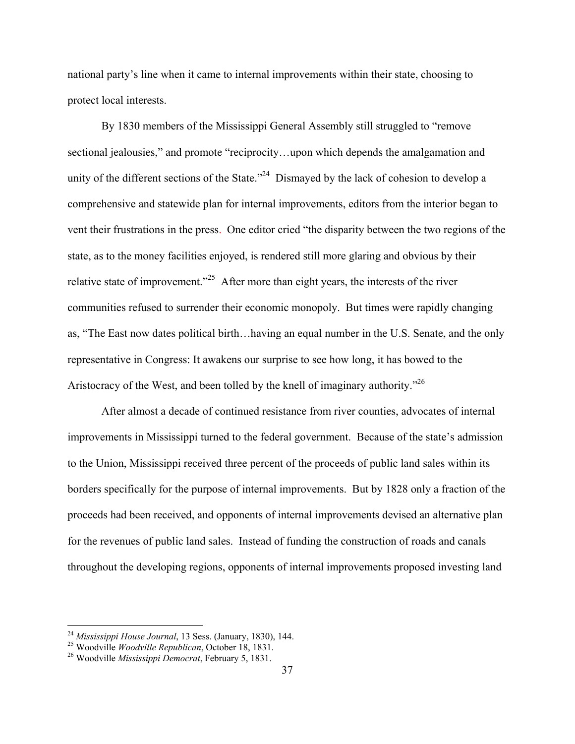national party's line when it came to internal improvements within their state, choosing to protect local interests.

By 1830 members of the Mississippi General Assembly still struggled to "remove sectional jealousies," and promote "reciprocity...upon which depends the amalgamation and unity of the different sections of the State.<sup> $24$ </sup> Dismayed by the lack of cohesion to develop a comprehensive and statewide plan for internal improvements, editors from the interior began to vent their frustrations in the press. One editor cried "the disparity between the two regions of the state, as to the money facilities enjoyed, is rendered still more glaring and obvious by their relative state of improvement."25 After more than eight years, the interests of the river communities refused to surrender their economic monopoly. But times were rapidly changing as, "The East now dates political birth…having an equal number in the U.S. Senate, and the only representative in Congress: It awakens our surprise to see how long, it has bowed to the Aristocracy of the West, and been tolled by the knell of imaginary authority.<sup>726</sup>

 After almost a decade of continued resistance from river counties, advocates of internal improvements in Mississippi turned to the federal government. Because of the state's admission to the Union, Mississippi received three percent of the proceeds of public land sales within its borders specifically for the purpose of internal improvements. But by 1828 only a fraction of the proceeds had been received, and opponents of internal improvements devised an alternative plan for the revenues of public land sales. Instead of funding the construction of roads and canals throughout the developing regions, opponents of internal improvements proposed investing land

<u>.</u>

<sup>24</sup> *Mississippi House Journal*, 13 Sess. (January, 1830), 144. 25 Woodville *Woodville Republican*, October 18, 1831. 26 Woodville *Mississippi Democrat*, February 5, 1831.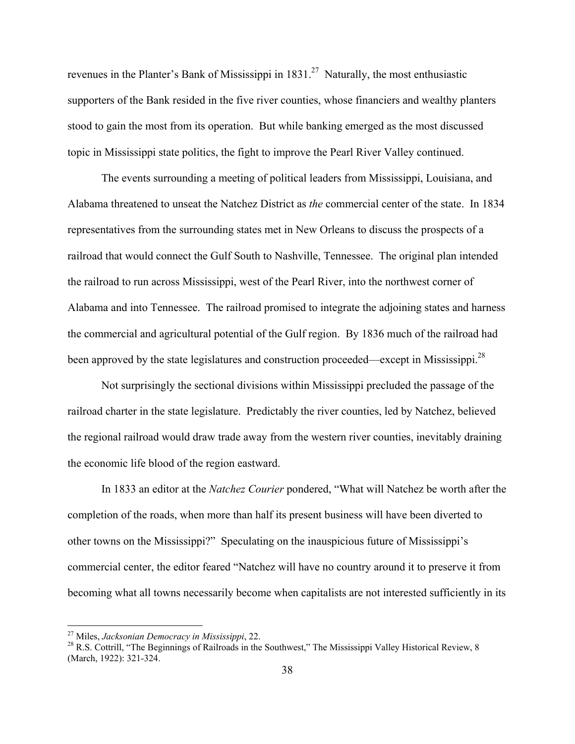revenues in the Planter's Bank of Mississippi in  $1831<sup>27</sup>$  Naturally, the most enthusiastic supporters of the Bank resided in the five river counties, whose financiers and wealthy planters stood to gain the most from its operation. But while banking emerged as the most discussed topic in Mississippi state politics, the fight to improve the Pearl River Valley continued.

The events surrounding a meeting of political leaders from Mississippi, Louisiana, and Alabama threatened to unseat the Natchez District as *the* commercial center of the state. In 1834 representatives from the surrounding states met in New Orleans to discuss the prospects of a railroad that would connect the Gulf South to Nashville, Tennessee. The original plan intended the railroad to run across Mississippi, west of the Pearl River, into the northwest corner of Alabama and into Tennessee. The railroad promised to integrate the adjoining states and harness the commercial and agricultural potential of the Gulf region. By 1836 much of the railroad had been approved by the state legislatures and construction proceeded—except in Mississippi.<sup>28</sup>

 Not surprisingly the sectional divisions within Mississippi precluded the passage of the railroad charter in the state legislature. Predictably the river counties, led by Natchez, believed the regional railroad would draw trade away from the western river counties, inevitably draining the economic life blood of the region eastward.

In 1833 an editor at the *Natchez Courier* pondered, "What will Natchez be worth after the completion of the roads, when more than half its present business will have been diverted to other towns on the Mississippi?" Speculating on the inauspicious future of Mississippi's commercial center, the editor feared "Natchez will have no country around it to preserve it from becoming what all towns necessarily become when capitalists are not interested sufficiently in its

<sup>&</sup>lt;sup>27</sup> Miles, *Jacksonian Democracy in Mississippi*, 22.<br><sup>28</sup> R.S. Cottrill, "The Beginnings of Railroads in the Southwest," The Mississippi Valley Historical Review, 8 (March, 1922): 321-324.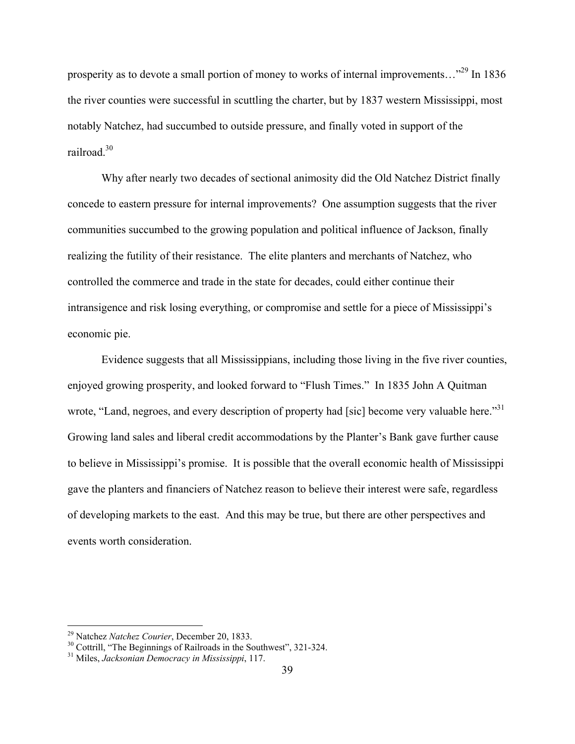prosperity as to devote a small portion of money to works of internal improvements..."<sup>29</sup> In 1836 the river counties were successful in scuttling the charter, but by 1837 western Mississippi, most notably Natchez, had succumbed to outside pressure, and finally voted in support of the railroad<sup>30</sup>

 Why after nearly two decades of sectional animosity did the Old Natchez District finally concede to eastern pressure for internal improvements? One assumption suggests that the river communities succumbed to the growing population and political influence of Jackson, finally realizing the futility of their resistance. The elite planters and merchants of Natchez, who controlled the commerce and trade in the state for decades, could either continue their intransigence and risk losing everything, or compromise and settle for a piece of Mississippi's economic pie.

Evidence suggests that all Mississippians, including those living in the five river counties, enjoyed growing prosperity, and looked forward to "Flush Times." In 1835 John A Quitman wrote, "Land, negroes, and every description of property had [sic] become very valuable here."<sup>31</sup> Growing land sales and liberal credit accommodations by the Planter's Bank gave further cause to believe in Mississippi's promise. It is possible that the overall economic health of Mississippi gave the planters and financiers of Natchez reason to believe their interest were safe, regardless of developing markets to the east. And this may be true, but there are other perspectives and events worth consideration.

<sup>&</sup>lt;sup>29</sup> Natchez *Natchez Courier*, December 20, 1833.<br><sup>30</sup> Cottrill, "The Beginnings of Railroads in the Southwest", 321-324.<br><sup>31</sup> Miles. *Jacksonian Democracy in Mississippi*, 117.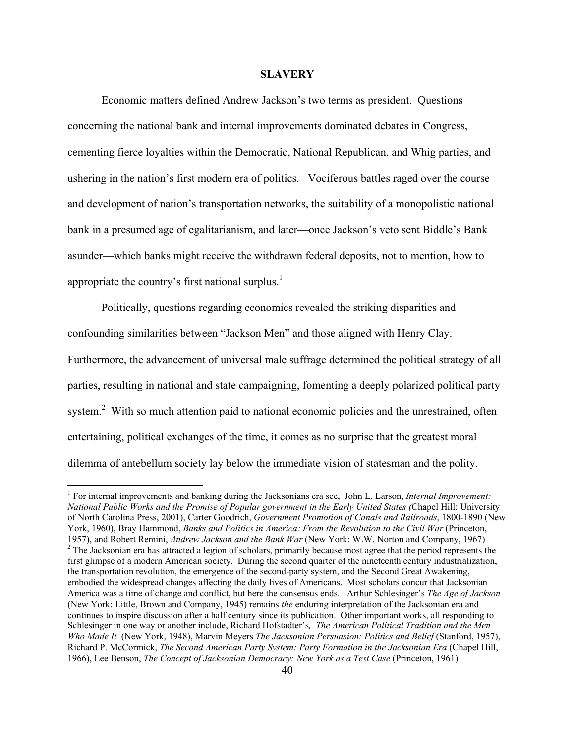#### **SLAVERY**

 Economic matters defined Andrew Jackson's two terms as president. Questions concerning the national bank and internal improvements dominated debates in Congress, cementing fierce loyalties within the Democratic, National Republican, and Whig parties, and ushering in the nation's first modern era of politics. Vociferous battles raged over the course and development of nation's transportation networks, the suitability of a monopolistic national bank in a presumed age of egalitarianism, and later—once Jackson's veto sent Biddle's Bank asunder—which banks might receive the withdrawn federal deposits, not to mention, how to appropriate the country's first national surplus.<sup>1</sup>

Politically, questions regarding economics revealed the striking disparities and confounding similarities between "Jackson Men" and those aligned with Henry Clay. Furthermore, the advancement of universal male suffrage determined the political strategy of all parties, resulting in national and state campaigning, fomenting a deeply polarized political party system.<sup>2</sup> With so much attention paid to national economic policies and the unrestrained, often entertaining, political exchanges of the time, it comes as no surprise that the greatest moral dilemma of antebellum society lay below the immediate vision of statesman and the polity.

<sup>&</sup>lt;sup>1</sup> For internal improvements and banking during the Jacksonians era see, John L. Larson, *Internal Improvement: National Public Works and the Promise of Popular government in the Early United States (*Chapel Hill: University of North Carolina Press, 2001), Carter Goodrich, *Government Promotion of Canals and Railroads*, 1800-1890 (New York, 1960), Bray Hammond, *Banks and Politics in America: From the Revolution to the Civil War* (Princeton, 1957), and Robert Remini, *Andrew Jackson and the Bank War* (New York: W.W. Norton and Company, 1967) <sup>2</sup> <sup>2</sup> The Jacksonian era has attracted a legion of scholars, primarily because most agree that the period represents the first glimpse of a modern American society. During the second quarter of the nineteenth century industrialization, the transportation revolution, the emergence of the second-party system, and the Second Great Awakening, embodied the widespread changes affecting the daily lives of Americans. Most scholars concur that Jacksonian America was a time of change and conflict, but here the consensus ends. Arthur Schlesinger's *The Age of Jackson* (New York: Little, Brown and Company, 1945) remains *the* enduring interpretation of the Jacksonian era and continues to inspire discussion after a half century since its publication. Other important works, all responding to Schlesinger in one way or another include, Richard Hofstadter's*, The American Political Tradition and the Men Who Made It* (New York, 1948), Marvin Meyers *The Jacksonian Persuasion: Politics and Belief* (Stanford, 1957), Richard P. McCormick, *The Second American Party System: Party Formation in the Jacksonian Era* (Chapel Hill, 1966), Lee Benson, *The Concept of Jacksonian Democracy: New York as a Test Case* (Princeton, 1961)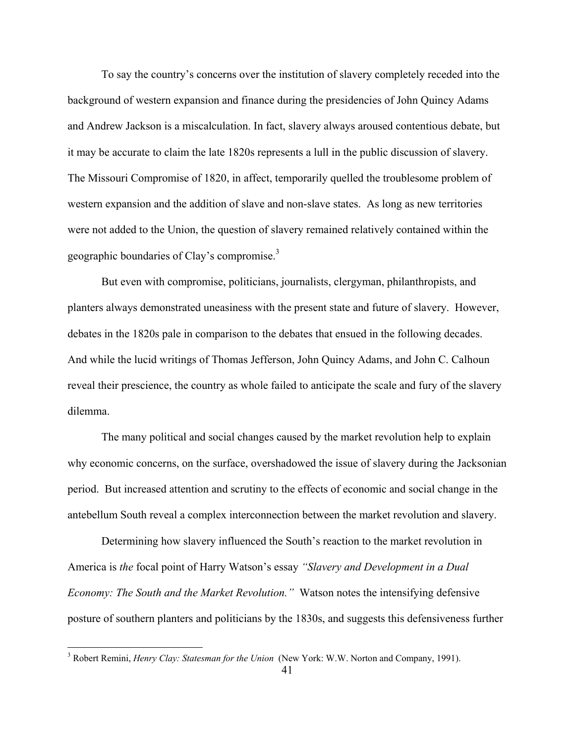To say the country's concerns over the institution of slavery completely receded into the background of western expansion and finance during the presidencies of John Quincy Adams and Andrew Jackson is a miscalculation. In fact, slavery always aroused contentious debate, but it may be accurate to claim the late 1820s represents a lull in the public discussion of slavery. The Missouri Compromise of 1820, in affect, temporarily quelled the troublesome problem of western expansion and the addition of slave and non-slave states. As long as new territories were not added to the Union, the question of slavery remained relatively contained within the geographic boundaries of Clay's compromise.<sup>3</sup>

But even with compromise, politicians, journalists, clergyman, philanthropists, and planters always demonstrated uneasiness with the present state and future of slavery. However, debates in the 1820s pale in comparison to the debates that ensued in the following decades. And while the lucid writings of Thomas Jefferson, John Quincy Adams, and John C. Calhoun reveal their prescience, the country as whole failed to anticipate the scale and fury of the slavery dilemma.

The many political and social changes caused by the market revolution help to explain why economic concerns, on the surface, overshadowed the issue of slavery during the Jacksonian period. But increased attention and scrutiny to the effects of economic and social change in the antebellum South reveal a complex interconnection between the market revolution and slavery.

Determining how slavery influenced the South's reaction to the market revolution in America is *the* focal point of Harry Watson's essay *"Slavery and Development in a Dual Economy: The South and the Market Revolution."* Watson notes the intensifying defensive posture of southern planters and politicians by the 1830s, and suggests this defensiveness further

 3 Robert Remini, *Henry Clay: Statesman for the Union* (New York: W.W. Norton and Company, 1991).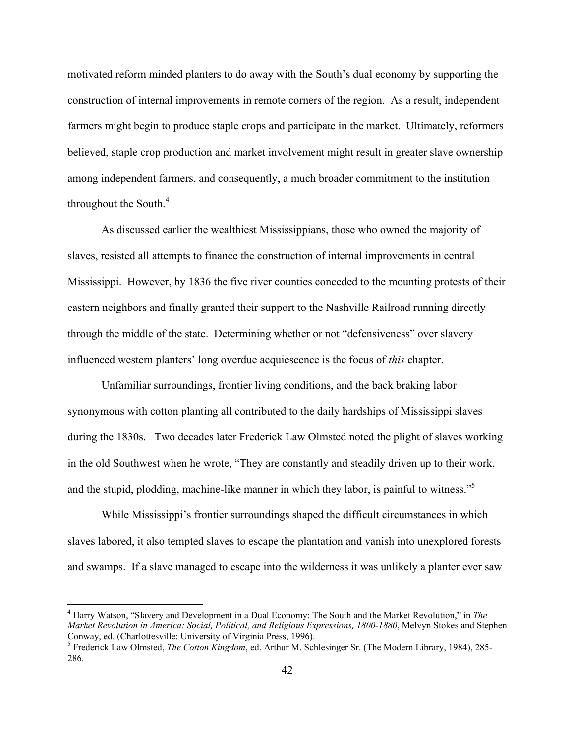motivated reform minded planters to do away with the South's dual economy by supporting the construction of internal improvements in remote corners of the region. As a result, independent farmers might begin to produce staple crops and participate in the market. Ultimately, reformers believed, staple crop production and market involvement might result in greater slave ownership among independent farmers, and consequently, a much broader commitment to the institution throughout the South. $4$ 

As discussed earlier the wealthiest Mississippians, those who owned the majority of slaves, resisted all attempts to finance the construction of internal improvements in central Mississippi. However, by 1836 the five river counties conceded to the mounting protests of their eastern neighbors and finally granted their support to the Nashville Railroad running directly through the middle of the state. Determining whether or not "defensiveness" over slavery influenced western planters' long overdue acquiescence is the focus of *this* chapter.

 Unfamiliar surroundings, frontier living conditions, and the back braking labor synonymous with cotton planting all contributed to the daily hardships of Mississippi slaves during the 1830s. Two decades later Frederick Law Olmsted noted the plight of slaves working in the old Southwest when he wrote, "They are constantly and steadily driven up to their work, and the stupid, plodding, machine-like manner in which they labor, is painful to witness."<sup>5</sup>

While Mississippi's frontier surroundings shaped the difficult circumstances in which slaves labored, it also tempted slaves to escape the plantation and vanish into unexplored forests and swamps. If a slave managed to escape into the wilderness it was unlikely a planter ever saw

<sup>4</sup> Harry Watson, "Slavery and Development in a Dual Economy: The South and the Market Revolution," in *The Market Revolution in America: Social, Political, and Religious Expressions, 1800-1880*, Melvyn Stokes and Stephen Conway, ed. (Charlottesville: University of Virginia Press, 1996).

Frederick Law Olmsted, *The Cotton Kingdom*, ed. Arthur M. Schlesinger Sr. (The Modern Library, 1984), 285- 286.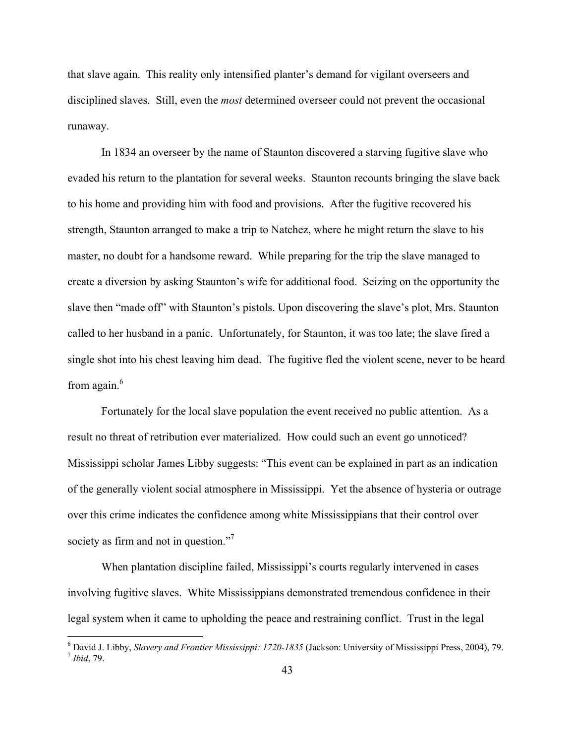that slave again. This reality only intensified planter's demand for vigilant overseers and disciplined slaves. Still, even the *most* determined overseer could not prevent the occasional runaway.

In 1834 an overseer by the name of Staunton discovered a starving fugitive slave who evaded his return to the plantation for several weeks. Staunton recounts bringing the slave back to his home and providing him with food and provisions. After the fugitive recovered his strength, Staunton arranged to make a trip to Natchez, where he might return the slave to his master, no doubt for a handsome reward. While preparing for the trip the slave managed to create a diversion by asking Staunton's wife for additional food. Seizing on the opportunity the slave then "made off" with Staunton's pistols. Upon discovering the slave's plot, Mrs. Staunton called to her husband in a panic. Unfortunately, for Staunton, it was too late; the slave fired a single shot into his chest leaving him dead. The fugitive fled the violent scene, never to be heard from again. $6$ 

Fortunately for the local slave population the event received no public attention. As a result no threat of retribution ever materialized. How could such an event go unnoticed? Mississippi scholar James Libby suggests: "This event can be explained in part as an indication of the generally violent social atmosphere in Mississippi. Yet the absence of hysteria or outrage over this crime indicates the confidence among white Mississippians that their control over society as firm and not in question."<sup>7</sup>

When plantation discipline failed, Mississippi's courts regularly intervened in cases involving fugitive slaves. White Mississippians demonstrated tremendous confidence in their legal system when it came to upholding the peace and restraining conflict. Trust in the legal

<sup>&</sup>lt;sup>6</sup> David J. Libby, *Slavery and Frontier Mississippi: 1720-1835* (Jackson: University of Mississippi Press, 2004), 79.<br><sup>7</sup> Ibid, 79.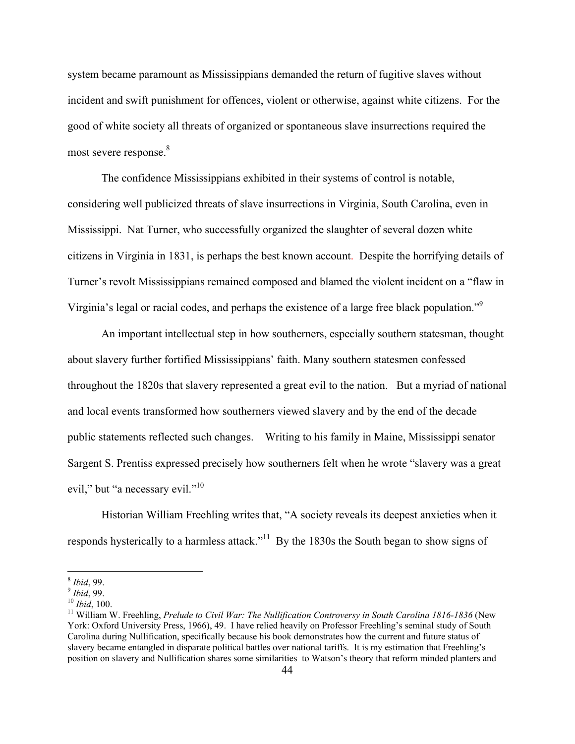system became paramount as Mississippians demanded the return of fugitive slaves without incident and swift punishment for offences, violent or otherwise, against white citizens. For the good of white society all threats of organized or spontaneous slave insurrections required the most severe response.<sup>8</sup>

The confidence Mississippians exhibited in their systems of control is notable, considering well publicized threats of slave insurrections in Virginia, South Carolina, even in Mississippi. Nat Turner, who successfully organized the slaughter of several dozen white citizens in Virginia in 1831, is perhaps the best known account. Despite the horrifying details of Turner's revolt Mississippians remained composed and blamed the violent incident on a "flaw in Virginia's legal or racial codes, and perhaps the existence of a large free black population."<sup>9</sup>

An important intellectual step in how southerners, especially southern statesman, thought about slavery further fortified Mississippians' faith. Many southern statesmen confessed throughout the 1820s that slavery represented a great evil to the nation. But a myriad of national and local events transformed how southerners viewed slavery and by the end of the decade public statements reflected such changes. Writing to his family in Maine, Mississippi senator Sargent S. Prentiss expressed precisely how southerners felt when he wrote "slavery was a great evil," but "a necessary evil."<sup>10</sup>

 Historian William Freehling writes that, "A society reveals its deepest anxieties when it responds hysterically to a harmless attack."<sup>11</sup> By the 1830s the South began to show signs of

<sup>&</sup>lt;sup>8</sup> *Ibid*, 99.<br><sup>9</sup> *Ibid*, 99.<br><sup>10</sup> *Ibid*, 100.<br><sup>11</sup> William W. Freehling, *Prelude to Civil War: The Nullification Controversy in South Carolina 1816-1836 (New* York: Oxford University Press, 1966), 49. I have relied heavily on Professor Freehling's seminal study of South Carolina during Nullification, specifically because his book demonstrates how the current and future status of slavery became entangled in disparate political battles over national tariffs. It is my estimation that Freehling's position on slavery and Nullification shares some similarities to Watson's theory that reform minded planters and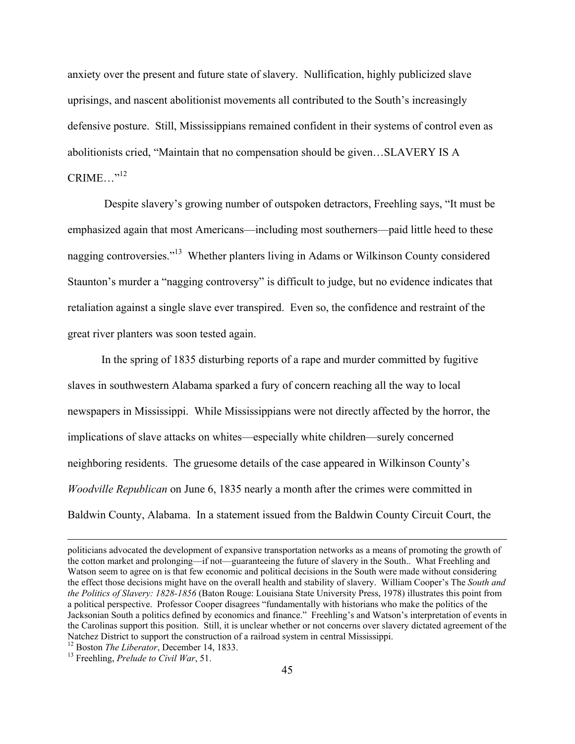anxiety over the present and future state of slavery. Nullification, highly publicized slave uprisings, and nascent abolitionist movements all contributed to the South's increasingly defensive posture. Still, Mississippians remained confident in their systems of control even as abolitionists cried, "Maintain that no compensation should be given…SLAVERY IS A  $CRIME \t$ .<sup>12</sup>

Despite slavery's growing number of outspoken detractors, Freehling says, "It must be emphasized again that most Americans—including most southerners—paid little heed to these nagging controversies."<sup>13</sup> Whether planters living in Adams or Wilkinson County considered Staunton's murder a "nagging controversy" is difficult to judge, but no evidence indicates that retaliation against a single slave ever transpired. Even so, the confidence and restraint of the great river planters was soon tested again.

In the spring of 1835 disturbing reports of a rape and murder committed by fugitive slaves in southwestern Alabama sparked a fury of concern reaching all the way to local newspapers in Mississippi. While Mississippians were not directly affected by the horror, the implications of slave attacks on whites—especially white children—surely concerned neighboring residents. The gruesome details of the case appeared in Wilkinson County's *Woodville Republican* on June 6, 1835 nearly a month after the crimes were committed in Baldwin County, Alabama. In a statement issued from the Baldwin County Circuit Court, the

politicians advocated the development of expansive transportation networks as a means of promoting the growth of the cotton market and prolonging—if not—guaranteeing the future of slavery in the South.. What Freehling and Watson seem to agree on is that few economic and political decisions in the South were made without considering the effect those decisions might have on the overall health and stability of slavery. William Cooper's The *South and the Politics of Slavery: 1828-1856* (Baton Rouge: Louisiana State University Press, 1978) illustrates this point from a political perspective. Professor Cooper disagrees "fundamentally with historians who make the politics of the Jacksonian South a politics defined by economics and finance." Freehling's and Watson's interpretation of events in the Carolinas support this position. Still, it is unclear whether or not concerns over slavery dictated agreement of the Natchez District to support the construction of a railroad system in central Mississippi.<br><sup>12</sup> Boston *The Liberator*, December 14, 1833.<br><sup>13</sup> Freehling, *Prelude to Civil War*, 51.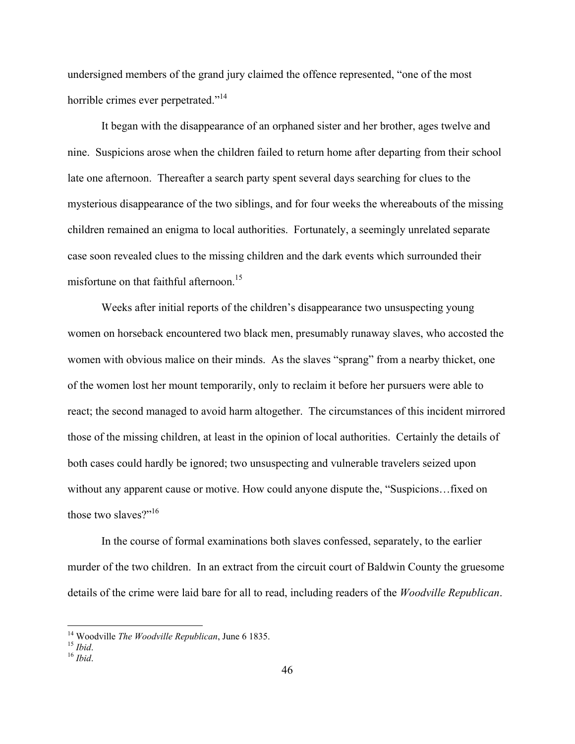undersigned members of the grand jury claimed the offence represented, "one of the most horrible crimes ever perpetrated."<sup>14</sup>

It began with the disappearance of an orphaned sister and her brother, ages twelve and nine. Suspicions arose when the children failed to return home after departing from their school late one afternoon. Thereafter a search party spent several days searching for clues to the mysterious disappearance of the two siblings, and for four weeks the whereabouts of the missing children remained an enigma to local authorities. Fortunately, a seemingly unrelated separate case soon revealed clues to the missing children and the dark events which surrounded their misfortune on that faithful afternoon.<sup>15</sup>

Weeks after initial reports of the children's disappearance two unsuspecting young women on horseback encountered two black men, presumably runaway slaves, who accosted the women with obvious malice on their minds. As the slaves "sprang" from a nearby thicket, one of the women lost her mount temporarily, only to reclaim it before her pursuers were able to react; the second managed to avoid harm altogether. The circumstances of this incident mirrored those of the missing children, at least in the opinion of local authorities. Certainly the details of both cases could hardly be ignored; two unsuspecting and vulnerable travelers seized upon without any apparent cause or motive. How could anyone dispute the, "Suspicions…fixed on those two slaves?"<sup>16</sup>

In the course of formal examinations both slaves confessed, separately, to the earlier murder of the two children. In an extract from the circuit court of Baldwin County the gruesome details of the crime were laid bare for all to read, including readers of the *Woodville Republican*.

<sup>&</sup>lt;sup>14</sup> Woodville *The Woodville Republican*, June 6 1835.<br><sup>15</sup> *Ibid*.<br><sup>16</sup> *Ibid*.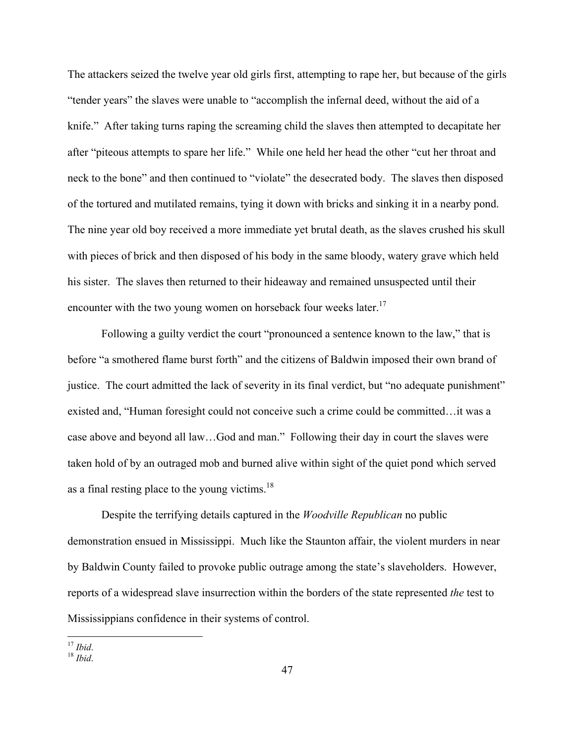The attackers seized the twelve year old girls first, attempting to rape her, but because of the girls "tender years" the slaves were unable to "accomplish the infernal deed, without the aid of a knife." After taking turns raping the screaming child the slaves then attempted to decapitate her after "piteous attempts to spare her life." While one held her head the other "cut her throat and neck to the bone" and then continued to "violate" the desecrated body. The slaves then disposed of the tortured and mutilated remains, tying it down with bricks and sinking it in a nearby pond. The nine year old boy received a more immediate yet brutal death, as the slaves crushed his skull with pieces of brick and then disposed of his body in the same bloody, watery grave which held his sister. The slaves then returned to their hideaway and remained unsuspected until their encounter with the two young women on horseback four weeks later.<sup>17</sup>

Following a guilty verdict the court "pronounced a sentence known to the law," that is before "a smothered flame burst forth" and the citizens of Baldwin imposed their own brand of justice. The court admitted the lack of severity in its final verdict, but "no adequate punishment" existed and, "Human foresight could not conceive such a crime could be committed…it was a case above and beyond all law…God and man." Following their day in court the slaves were taken hold of by an outraged mob and burned alive within sight of the quiet pond which served as a final resting place to the young victims. $18$ 

Despite the terrifying details captured in the *Woodville Republican* no public demonstration ensued in Mississippi. Much like the Staunton affair, the violent murders in near by Baldwin County failed to provoke public outrage among the state's slaveholders. However, reports of a widespread slave insurrection within the borders of the state represented *the* test to Mississippians confidence in their systems of control.

 $17$  Ibid.

 $18$  *Ibid*.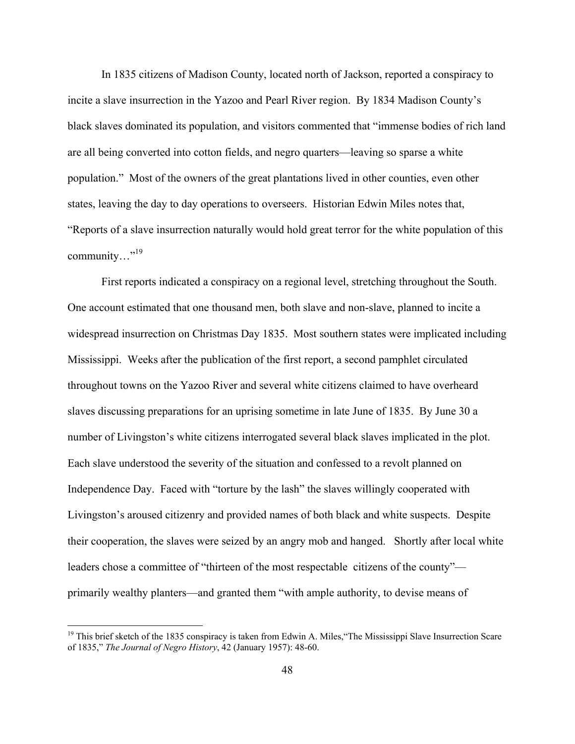In 1835 citizens of Madison County, located north of Jackson, reported a conspiracy to incite a slave insurrection in the Yazoo and Pearl River region. By 1834 Madison County's black slaves dominated its population, and visitors commented that "immense bodies of rich land are all being converted into cotton fields, and negro quarters—leaving so sparse a white population." Most of the owners of the great plantations lived in other counties, even other states, leaving the day to day operations to overseers. Historian Edwin Miles notes that, "Reports of a slave insurrection naturally would hold great terror for the white population of this community…"<sup>19</sup>

First reports indicated a conspiracy on a regional level, stretching throughout the South. One account estimated that one thousand men, both slave and non-slave, planned to incite a widespread insurrection on Christmas Day 1835. Most southern states were implicated including Mississippi. Weeks after the publication of the first report, a second pamphlet circulated throughout towns on the Yazoo River and several white citizens claimed to have overheard slaves discussing preparations for an uprising sometime in late June of 1835. By June 30 a number of Livingston's white citizens interrogated several black slaves implicated in the plot. Each slave understood the severity of the situation and confessed to a revolt planned on Independence Day. Faced with "torture by the lash" the slaves willingly cooperated with Livingston's aroused citizenry and provided names of both black and white suspects. Despite their cooperation, the slaves were seized by an angry mob and hanged. Shortly after local white leaders chose a committee of "thirteen of the most respectable citizens of the county" primarily wealthy planters—and granted them "with ample authority, to devise means of

 $19$  This brief sketch of the 1835 conspiracy is taken from Edwin A. Miles, "The Mississippi Slave Insurrection Scare" of 1835," *The Journal of Negro History*, 42 (January 1957): 48-60.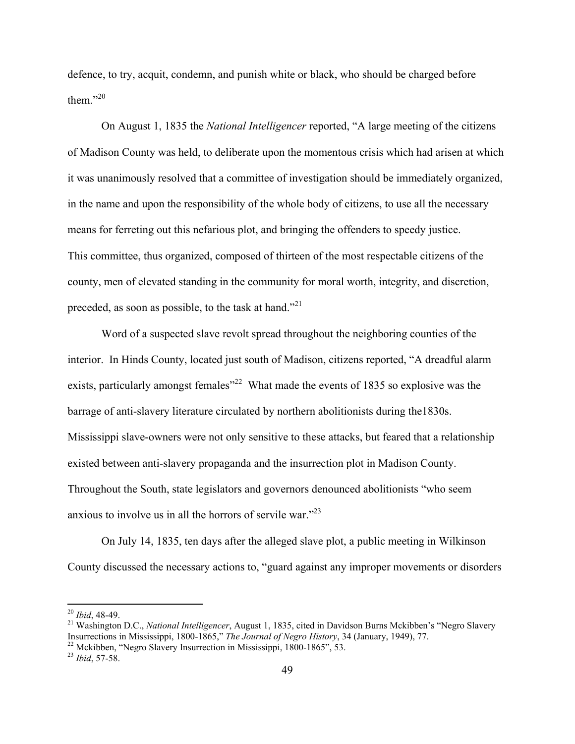defence, to try, acquit, condemn, and punish white or black, who should be charged before them."20

On August 1, 1835 the *National Intelligencer* reported, "A large meeting of the citizens of Madison County was held, to deliberate upon the momentous crisis which had arisen at which it was unanimously resolved that a committee of investigation should be immediately organized, in the name and upon the responsibility of the whole body of citizens, to use all the necessary means for ferreting out this nefarious plot, and bringing the offenders to speedy justice. This committee, thus organized, composed of thirteen of the most respectable citizens of the county, men of elevated standing in the community for moral worth, integrity, and discretion, preceded, as soon as possible, to the task at hand."<sup>21</sup>

Word of a suspected slave revolt spread throughout the neighboring counties of the interior. In Hinds County, located just south of Madison, citizens reported, "A dreadful alarm exists, particularly amongst females<sup>22</sup> What made the events of 1835 so explosive was the barrage of anti-slavery literature circulated by northern abolitionists during the1830s. Mississippi slave-owners were not only sensitive to these attacks, but feared that a relationship existed between anti-slavery propaganda and the insurrection plot in Madison County. Throughout the South, state legislators and governors denounced abolitionists "who seem anxious to involve us in all the horrors of servile war."23

On July 14, 1835, ten days after the alleged slave plot, a public meeting in Wilkinson County discussed the necessary actions to, "guard against any improper movements or disorders

<sup>&</sup>lt;sup>20</sup> *Ibid*, 48-49.<br><sup>21</sup> Washington D.C., *National Intelligencer*, August 1, 1835, cited in Davidson Burns Mckibben's "Negro Slavery Insurrections in Mississippi, 1800-1865," *The Journal of Negro History*, 34 (January, 1

<sup>&</sup>lt;sup>22</sup> Mckibben, "Negro Slavery Insurrection in Mississippi, 1800-1865", 53.

<sup>23</sup> *Ibid*, 57-58.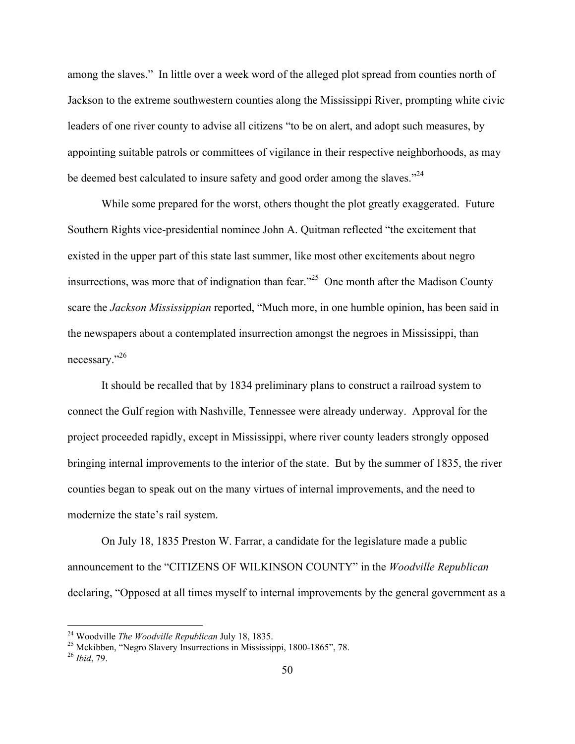among the slaves." In little over a week word of the alleged plot spread from counties north of Jackson to the extreme southwestern counties along the Mississippi River, prompting white civic leaders of one river county to advise all citizens "to be on alert, and adopt such measures, by appointing suitable patrols or committees of vigilance in their respective neighborhoods, as may be deemed best calculated to insure safety and good order among the slaves."<sup>24</sup>

While some prepared for the worst, others thought the plot greatly exaggerated. Future Southern Rights vice-presidential nominee John A. Quitman reflected "the excitement that existed in the upper part of this state last summer, like most other excitements about negro insurrections, was more that of indignation than fear."25 One month after the Madison County scare the *Jackson Mississippian* reported, "Much more, in one humble opinion, has been said in the newspapers about a contemplated insurrection amongst the negroes in Mississippi, than necessary."26

It should be recalled that by 1834 preliminary plans to construct a railroad system to connect the Gulf region with Nashville, Tennessee were already underway. Approval for the project proceeded rapidly, except in Mississippi, where river county leaders strongly opposed bringing internal improvements to the interior of the state. But by the summer of 1835, the river counties began to speak out on the many virtues of internal improvements, and the need to modernize the state's rail system.

On July 18, 1835 Preston W. Farrar, a candidate for the legislature made a public announcement to the "CITIZENS OF WILKINSON COUNTY" in the *Woodville Republican* declaring, "Opposed at all times myself to internal improvements by the general government as a

<sup>&</sup>lt;sup>24</sup> Woodville *The Woodville Republican* July 18, 1835.<br><sup>25</sup> Mckibben, "Negro Slavery Insurrections in Mississippi, 1800-1865", 78.

<sup>26</sup> *Ibid*, 79.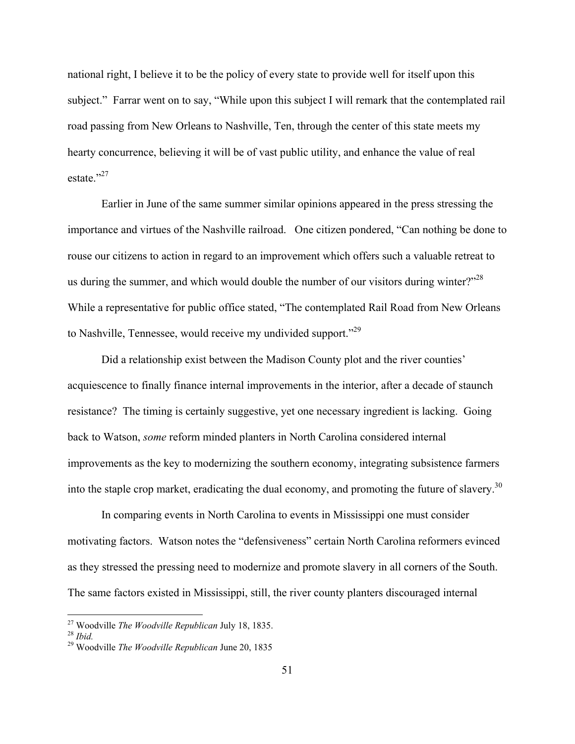national right, I believe it to be the policy of every state to provide well for itself upon this subject." Farrar went on to say, "While upon this subject I will remark that the contemplated rail road passing from New Orleans to Nashville, Ten, through the center of this state meets my hearty concurrence, believing it will be of vast public utility, and enhance the value of real estate $^{327}$ 

Earlier in June of the same summer similar opinions appeared in the press stressing the importance and virtues of the Nashville railroad. One citizen pondered, "Can nothing be done to rouse our citizens to action in regard to an improvement which offers such a valuable retreat to us during the summer, and which would double the number of our visitors during winter?"<sup>28</sup> While a representative for public office stated, "The contemplated Rail Road from New Orleans to Nashville, Tennessee, would receive my undivided support."29

Did a relationship exist between the Madison County plot and the river counties' acquiescence to finally finance internal improvements in the interior, after a decade of staunch resistance? The timing is certainly suggestive, yet one necessary ingredient is lacking. Going back to Watson, *some* reform minded planters in North Carolina considered internal improvements as the key to modernizing the southern economy, integrating subsistence farmers into the staple crop market, eradicating the dual economy, and promoting the future of slavery.<sup>30</sup>

In comparing events in North Carolina to events in Mississippi one must consider motivating factors. Watson notes the "defensiveness" certain North Carolina reformers evinced as they stressed the pressing need to modernize and promote slavery in all corners of the South. The same factors existed in Mississippi, still, the river county planters discouraged internal

 $27$  Woodville *The Woodville Republican* July 18, 1835.

<sup>&</sup>lt;sup>28</sup> *Ibid. <sup>29</sup>* Woodville *The Woodville Republican* June 20, 1835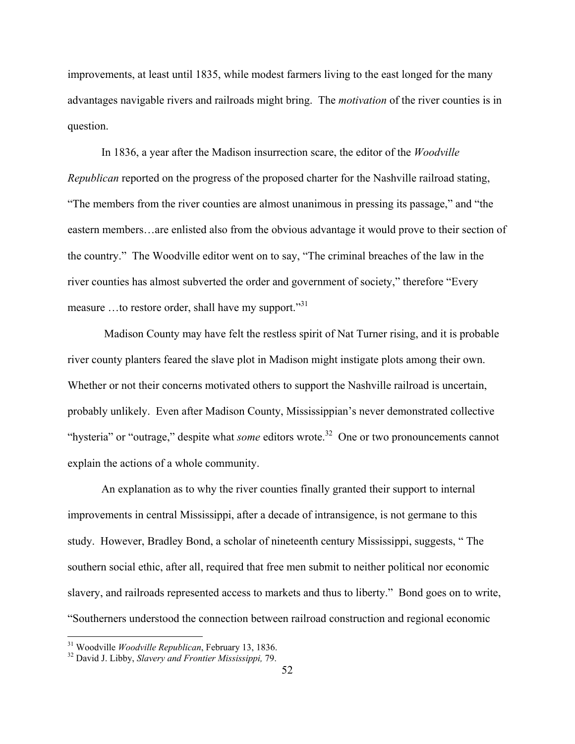improvements, at least until 1835, while modest farmers living to the east longed for the many advantages navigable rivers and railroads might bring. The *motivation* of the river counties is in question.

In 1836, a year after the Madison insurrection scare, the editor of the *Woodville Republican* reported on the progress of the proposed charter for the Nashville railroad stating, "The members from the river counties are almost unanimous in pressing its passage," and "the eastern members…are enlisted also from the obvious advantage it would prove to their section of the country." The Woodville editor went on to say, "The criminal breaches of the law in the river counties has almost subverted the order and government of society," therefore "Every measure ...to restore order, shall have my support."<sup>31</sup>

 Madison County may have felt the restless spirit of Nat Turner rising, and it is probable river county planters feared the slave plot in Madison might instigate plots among their own. Whether or not their concerns motivated others to support the Nashville railroad is uncertain, probably unlikely. Even after Madison County, Mississippian's never demonstrated collective "hysteria" or "outrage," despite what *some* editors wrote.<sup>32</sup> One or two pronouncements cannot explain the actions of a whole community.

 An explanation as to why the river counties finally granted their support to internal improvements in central Mississippi, after a decade of intransigence, is not germane to this study. However, Bradley Bond, a scholar of nineteenth century Mississippi, suggests, " The southern social ethic, after all, required that free men submit to neither political nor economic slavery, and railroads represented access to markets and thus to liberty." Bond goes on to write, "Southerners understood the connection between railroad construction and regional economic

<sup>&</sup>lt;sup>31</sup> Woodville *Woodville Republican*, February 13, 1836.<br><sup>32</sup> David J. Libby, *Slavery and Frontier Mississippi*, 79.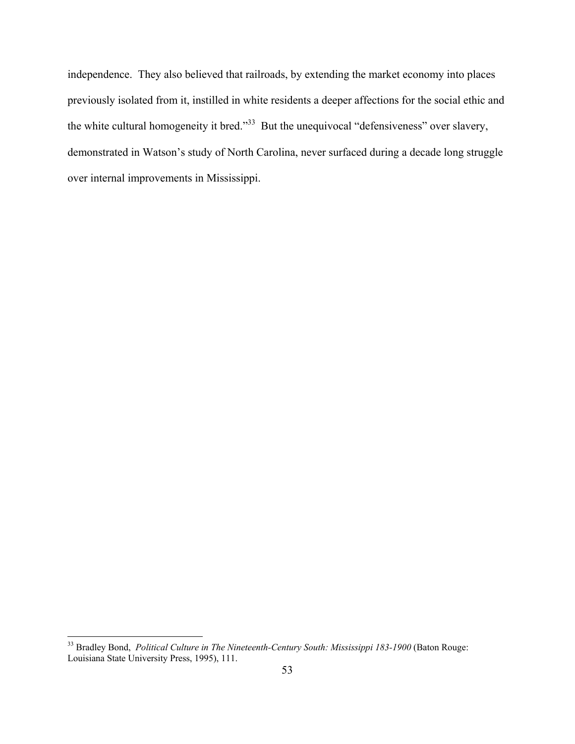independence. They also believed that railroads, by extending the market economy into places previously isolated from it, instilled in white residents a deeper affections for the social ethic and the white cultural homogeneity it bred."<sup>33</sup> But the unequivocal "defensiveness" over slavery, demonstrated in Watson's study of North Carolina, never surfaced during a decade long struggle over internal improvements in Mississippi.

<sup>&</sup>lt;sup>33</sup> Bradley Bond, *Political Culture in The Nineteenth-Century South: Mississippi 183-1900* (Baton Rouge: Louisiana State University Press, 1995), 111.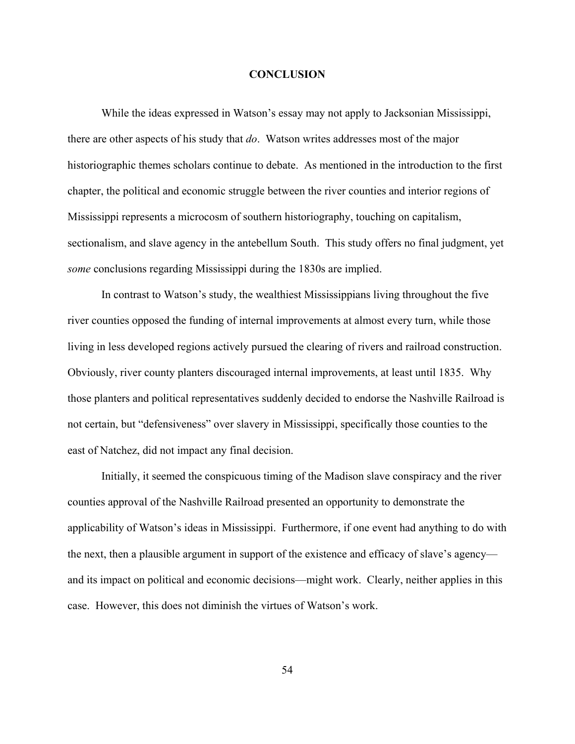#### **CONCLUSION**

While the ideas expressed in Watson's essay may not apply to Jacksonian Mississippi, there are other aspects of his study that *do*. Watson writes addresses most of the major historiographic themes scholars continue to debate. As mentioned in the introduction to the first chapter, the political and economic struggle between the river counties and interior regions of Mississippi represents a microcosm of southern historiography, touching on capitalism, sectionalism, and slave agency in the antebellum South. This study offers no final judgment, yet *some* conclusions regarding Mississippi during the 1830s are implied.

 In contrast to Watson's study, the wealthiest Mississippians living throughout the five river counties opposed the funding of internal improvements at almost every turn, while those living in less developed regions actively pursued the clearing of rivers and railroad construction. Obviously, river county planters discouraged internal improvements, at least until 1835. Why those planters and political representatives suddenly decided to endorse the Nashville Railroad is not certain, but "defensiveness" over slavery in Mississippi, specifically those counties to the east of Natchez, did not impact any final decision.

Initially, it seemed the conspicuous timing of the Madison slave conspiracy and the river counties approval of the Nashville Railroad presented an opportunity to demonstrate the applicability of Watson's ideas in Mississippi. Furthermore, if one event had anything to do with the next, then a plausible argument in support of the existence and efficacy of slave's agency and its impact on political and economic decisions—might work. Clearly, neither applies in this case. However, this does not diminish the virtues of Watson's work.

54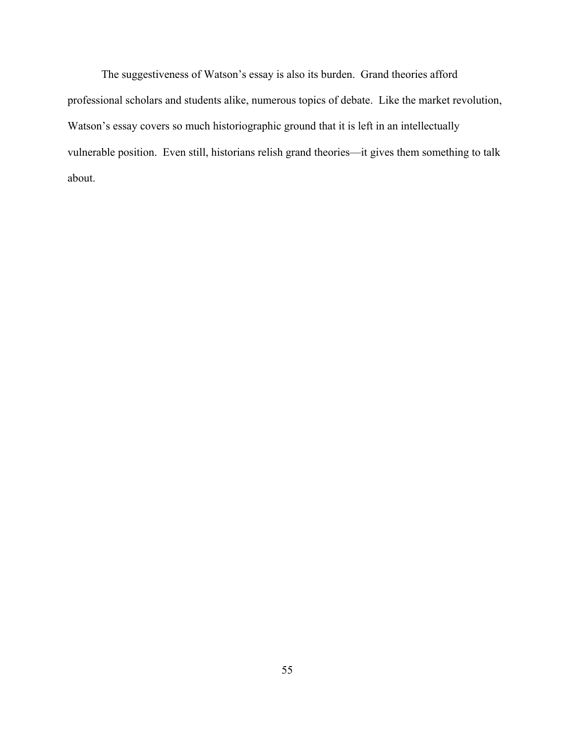The suggestiveness of Watson's essay is also its burden. Grand theories afford professional scholars and students alike, numerous topics of debate. Like the market revolution, Watson's essay covers so much historiographic ground that it is left in an intellectually vulnerable position. Even still, historians relish grand theories—it gives them something to talk about.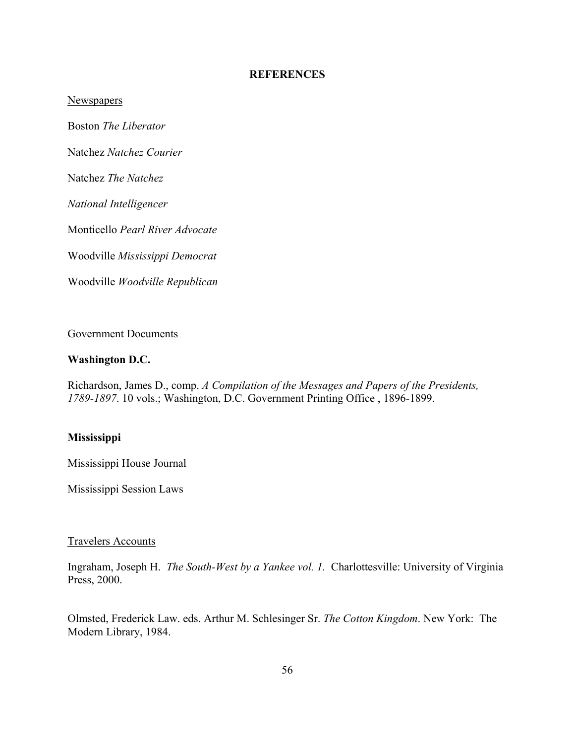#### **REFERENCES**

**Newspapers** 

Boston *The Liberator*

Natchez *Natchez Courier*

Natchez *The Natchez*

*National Intelligencer*

Monticello *Pearl River Advocate*

Woodville *Mississippi Democrat*

Woodville *Woodville Republican*

#### Government Documents

#### **Washington D.C.**

Richardson, James D., comp. *A Compilation of the Messages and Papers of the Presidents, 1789-1897*. 10 vols.; Washington, D.C. Government Printing Office , 1896-1899.

#### **Mississippi**

Mississippi House Journal

Mississippi Session Laws

#### Travelers Accounts

Ingraham, Joseph H. *The South-West by a Yankee vol. 1.* Charlottesville: University of Virginia Press, 2000.

Olmsted, Frederick Law. eds. Arthur M. Schlesinger Sr. *The Cotton Kingdom*. New York: The Modern Library, 1984.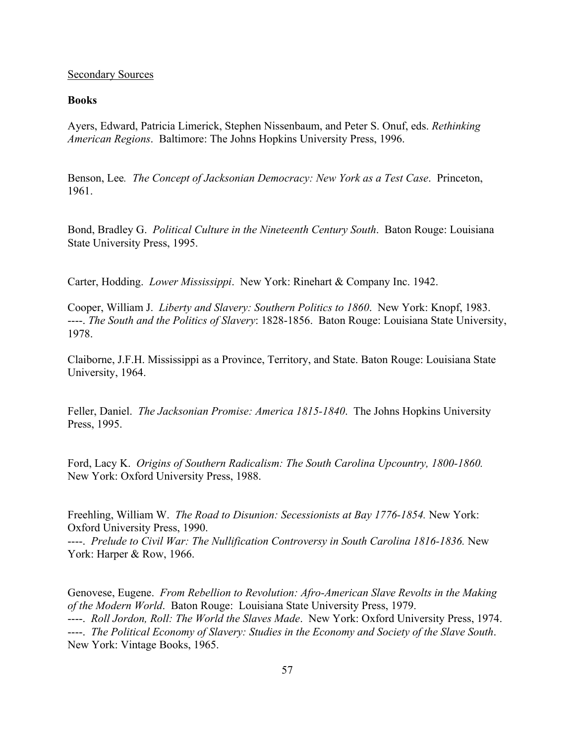#### Secondary Sources

#### **Books**

Ayers, Edward, Patricia Limerick, Stephen Nissenbaum, and Peter S. Onuf, eds. *Rethinking American Regions*. Baltimore: The Johns Hopkins University Press, 1996.

Benson, Lee*. The Concept of Jacksonian Democracy: New York as a Test Case*. Princeton, 1961.

Bond, Bradley G. *Political Culture in the Nineteenth Century South*. Baton Rouge: Louisiana State University Press, 1995.

Carter, Hodding. *Lower Mississippi*. New York: Rinehart & Company Inc. 1942.

Cooper, William J. *Liberty and Slavery: Southern Politics to 1860*. New York: Knopf, 1983. ----. *The South and the Politics of Slavery*: 1828-1856. Baton Rouge: Louisiana State University, 1978.

Claiborne, J.F.H. Mississippi as a Province, Territory, and State. Baton Rouge: Louisiana State University, 1964.

Feller, Daniel. *The Jacksonian Promise: America 1815-1840*. The Johns Hopkins University Press, 1995.

Ford, Lacy K. *Origins of Southern Radicalism: The South Carolina Upcountry, 1800-1860.*  New York: Oxford University Press, 1988.

Freehling, William W. *The Road to Disunion: Secessionists at Bay 1776-1854.* New York: Oxford University Press, 1990.

----. *Prelude to Civil War: The Nullification Controversy in South Carolina 1816-1836.* New York: Harper & Row, 1966.

Genovese, Eugene. *From Rebellion to Revolution: Afro-American Slave Revolts in the Making of the Modern World*. Baton Rouge: Louisiana State University Press, 1979. ----. *Roll Jordon, Roll: The World the Slaves Made*. New York: Oxford University Press, 1974. ----. *The Political Economy of Slavery: Studies in the Economy and Society of the Slave South*. New York: Vintage Books, 1965.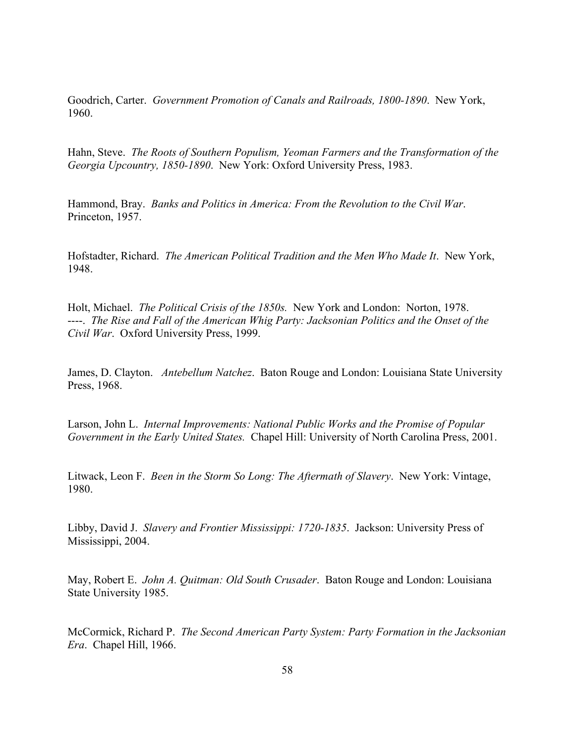Goodrich, Carter. *Government Promotion of Canals and Railroads, 1800-1890*. New York, 1960.

Hahn, Steve. *The Roots of Southern Populism, Yeoman Farmers and the Transformation of the Georgia Upcountry, 1850-1890*. New York: Oxford University Press, 1983.

Hammond, Bray. *Banks and Politics in America: From the Revolution to the Civil War*. Princeton, 1957.

Hofstadter, Richard. *The American Political Tradition and the Men Who Made It*. New York, 1948.

Holt, Michael. *The Political Crisis of the 1850s.* New York and London: Norton, 1978. ----. *The Rise and Fall of the American Whig Party: Jacksonian Politics and the Onset of the Civil War*. Oxford University Press, 1999.

James, D. Clayton. *Antebellum Natchez*. Baton Rouge and London: Louisiana State University Press, 1968.

Larson, John L. *Internal Improvements: National Public Works and the Promise of Popular Government in the Early United States.* Chapel Hill: University of North Carolina Press, 2001.

Litwack, Leon F. *Been in the Storm So Long: The Aftermath of Slavery*. New York: Vintage, 1980.

Libby, David J. *Slavery and Frontier Mississippi: 1720-1835*. Jackson: University Press of Mississippi, 2004.

May, Robert E. *John A. Quitman: Old South Crusader*. Baton Rouge and London: Louisiana State University 1985.

McCormick, Richard P. *The Second American Party System: Party Formation in the Jacksonian Era*. Chapel Hill, 1966.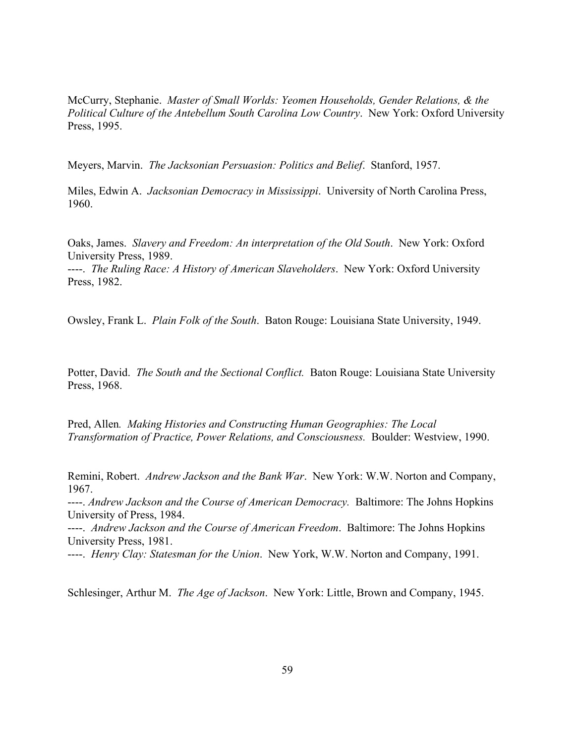McCurry, Stephanie. *Master of Small Worlds: Yeomen Households, Gender Relations, & the Political Culture of the Antebellum South Carolina Low Country*. New York: Oxford University Press, 1995.

Meyers, Marvin. *The Jacksonian Persuasion: Politics and Belief*. Stanford, 1957.

Miles, Edwin A. *Jacksonian Democracy in Mississippi*. University of North Carolina Press, 1960.

Oaks, James. *Slavery and Freedom: An interpretation of the Old South*. New York: Oxford University Press, 1989.

----. *The Ruling Race: A History of American Slaveholders*. New York: Oxford University Press, 1982.

Owsley, Frank L. *Plain Folk of the South*. Baton Rouge: Louisiana State University, 1949.

Potter, David. *The South and the Sectional Conflict.* Baton Rouge: Louisiana State University Press, 1968.

Pred, Allen*. Making Histories and Constructing Human Geographies: The Local Transformation of Practice, Power Relations, and Consciousness.* Boulder: Westview, 1990.

Remini, Robert. *Andrew Jackson and the Bank War*. New York: W.W. Norton and Company, 1967.

----. *Andrew Jackson and the Course of American Democracy.* Baltimore: The Johns Hopkins University of Press, 1984.

----. *Andrew Jackson and the Course of American Freedom*. Baltimore: The Johns Hopkins University Press, 1981.

----. *Henry Clay: Statesman for the Union*. New York, W.W. Norton and Company, 1991.

Schlesinger, Arthur M. *The Age of Jackson*. New York: Little, Brown and Company, 1945.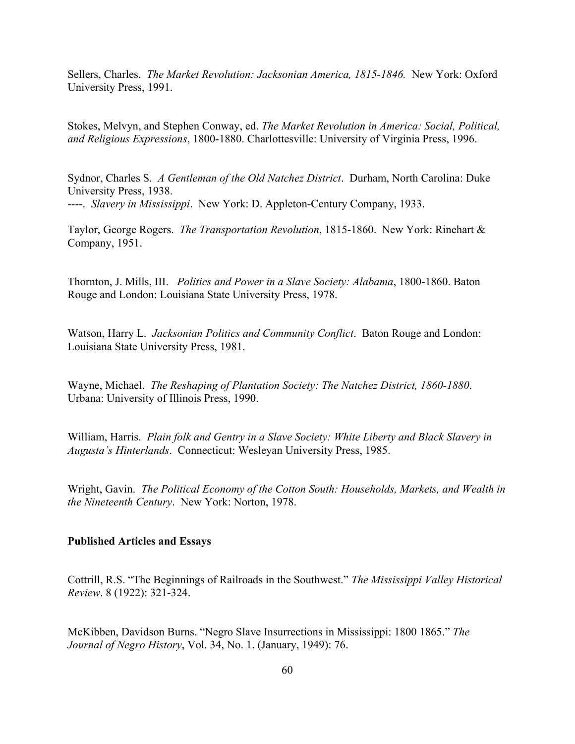Sellers, Charles. *The Market Revolution: Jacksonian America, 1815-1846.* New York: Oxford University Press, 1991.

Stokes, Melvyn, and Stephen Conway, ed. *The Market Revolution in America: Social, Political, and Religious Expressions*, 1800-1880. Charlottesville: University of Virginia Press, 1996.

Sydnor, Charles S. *A Gentleman of the Old Natchez District*. Durham, North Carolina: Duke University Press, 1938. ----. *Slavery in Mississippi*. New York: D. Appleton-Century Company, 1933.

Taylor, George Rogers. *The Transportation Revolution*, 1815-1860. New York: Rinehart & Company, 1951.

Thornton, J. Mills, III. *Politics and Power in a Slave Society: Alabama*, 1800-1860. Baton Rouge and London: Louisiana State University Press, 1978.

Watson, Harry L. *Jacksonian Politics and Community Conflict*. Baton Rouge and London: Louisiana State University Press, 1981.

Wayne, Michael. *The Reshaping of Plantation Society: The Natchez District, 1860-1880*. Urbana: University of Illinois Press, 1990.

William, Harris. *Plain folk and Gentry in a Slave Society: White Liberty and Black Slavery in Augusta's Hinterlands*. Connecticut: Wesleyan University Press, 1985.

Wright, Gavin. *The Political Economy of the Cotton South: Households, Markets, and Wealth in the Nineteenth Century*. New York: Norton, 1978.

#### **Published Articles and Essays**

Cottrill, R.S. "The Beginnings of Railroads in the Southwest." *The Mississippi Valley Historical Review*. 8 (1922): 321-324.

McKibben, Davidson Burns. "Negro Slave Insurrections in Mississippi: 1800 1865." *The Journal of Negro History*, Vol. 34, No. 1. (January, 1949): 76.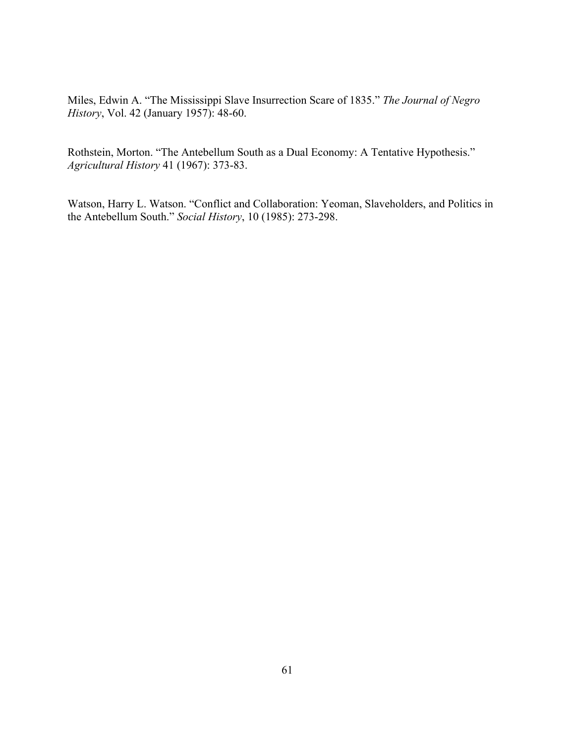Miles, Edwin A. "The Mississippi Slave Insurrection Scare of 1835." *The Journal of Negro History*, Vol. 42 (January 1957): 48-60.

Rothstein, Morton. "The Antebellum South as a Dual Economy: A Tentative Hypothesis." *Agricultural History* 41 (1967): 373-83.

Watson, Harry L. Watson. "Conflict and Collaboration: Yeoman, Slaveholders, and Politics in the Antebellum South." *Social History*, 10 (1985): 273-298.